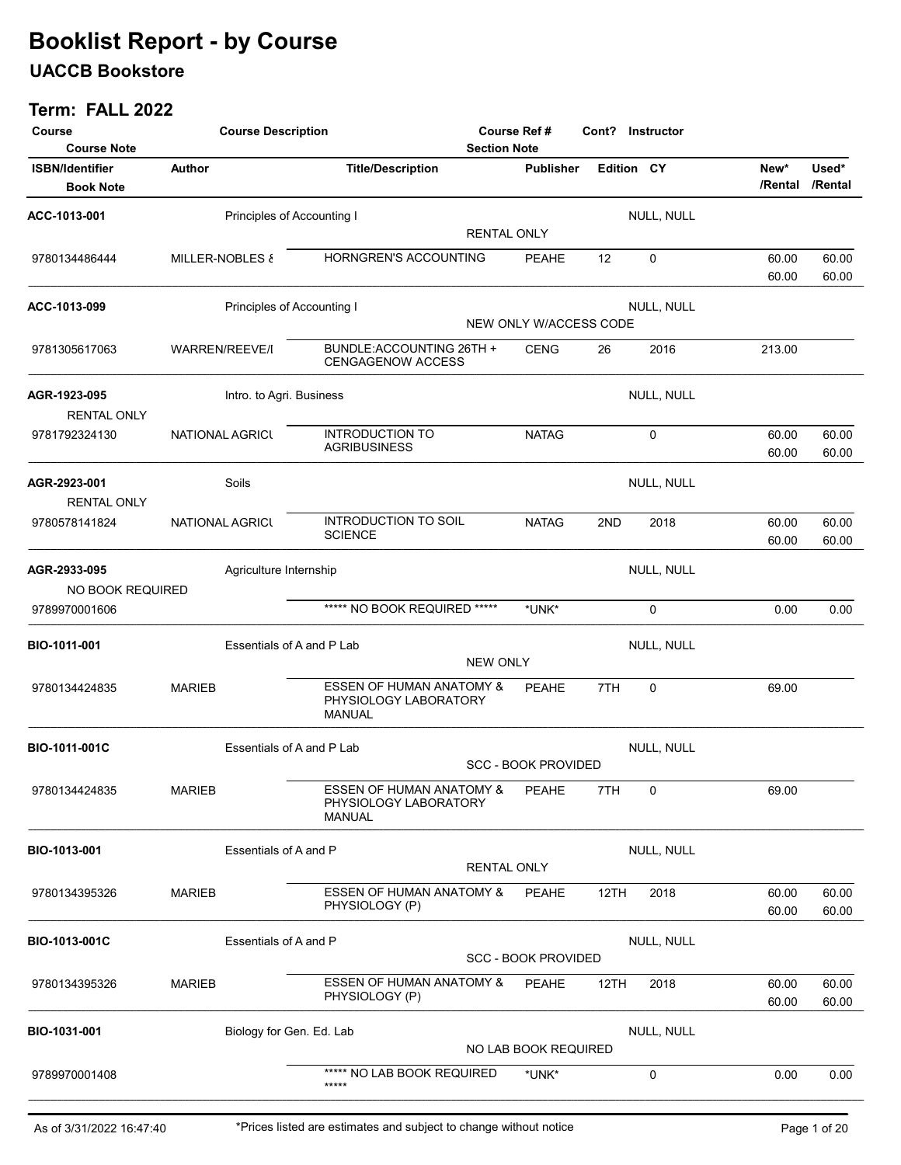### UACCB Bookstore

| Course                                     | <b>Course Description</b> |                                                                               |                     | <b>Course Ref#</b><br>Cont? Instructor |                   |            |                 |                  |
|--------------------------------------------|---------------------------|-------------------------------------------------------------------------------|---------------------|----------------------------------------|-------------------|------------|-----------------|------------------|
| <b>Course Note</b>                         |                           |                                                                               | <b>Section Note</b> |                                        |                   |            |                 |                  |
| <b>ISBN/Identifier</b><br><b>Book Note</b> | <b>Author</b>             | <b>Title/Description</b>                                                      |                     | <b>Publisher</b>                       | Edition CY        |            | New*<br>/Rental | Used*<br>/Rental |
| ACC-1013-001                               |                           | Principles of Accounting I                                                    |                     |                                        |                   | NULL, NULL |                 |                  |
|                                            |                           |                                                                               | <b>RENTAL ONLY</b>  |                                        |                   |            |                 |                  |
| 9780134486444                              | MILLER-NOBLES &           | HORNGREN'S ACCOUNTING                                                         |                     | <b>PEAHE</b>                           | $12 \overline{ }$ | 0          | 60.00<br>60.00  | 60.00<br>60.00   |
| ACC-1013-099                               |                           | Principles of Accounting I                                                    |                     |                                        |                   | NULL, NULL |                 |                  |
|                                            |                           |                                                                               |                     | NEW ONLY W/ACCESS CODE                 |                   |            |                 |                  |
| 9781305617063                              | WARREN/REEVE/I            | BUNDLE:ACCOUNTING 26TH +<br><b>CENGAGENOW ACCESS</b>                          |                     | <b>CENG</b>                            | 26                | 2016       | 213.00          |                  |
| AGR-1923-095<br><b>RENTAL ONLY</b>         |                           | Intro. to Agri. Business                                                      |                     |                                        |                   | NULL, NULL |                 |                  |
| 9781792324130                              | <b>NATIONAL AGRICL</b>    | <b>INTRODUCTION TO</b><br><b>AGRIBUSINESS</b>                                 |                     | <b>NATAG</b>                           |                   | 0          | 60.00<br>60.00  | 60.00<br>60.00   |
| AGR-2923-001<br><b>RENTAL ONLY</b>         | Soils                     |                                                                               |                     |                                        |                   | NULL, NULL |                 |                  |
| 9780578141824                              | <b>NATIONAL AGRICL</b>    | <b>INTRODUCTION TO SOIL</b><br><b>SCIENCE</b>                                 |                     | <b>NATAG</b>                           | 2ND               | 2018       | 60.00<br>60.00  | 60.00<br>60.00   |
| AGR-2933-095<br>NO BOOK REQUIRED           |                           | Agriculture Internship                                                        |                     |                                        |                   | NULL, NULL |                 |                  |
| 9789970001606                              |                           | ***** NO BOOK REQUIRED *****                                                  |                     | *UNK*                                  |                   | 0          | 0.00            | 0.00             |
| BIO-1011-001                               |                           | Essentials of A and P Lab                                                     |                     |                                        |                   | NULL, NULL |                 |                  |
|                                            |                           |                                                                               | <b>NEW ONLY</b>     |                                        |                   |            |                 |                  |
| 9780134424835                              | <b>MARIEB</b>             | <b>ESSEN OF HUMAN ANATOMY &amp;</b><br>PHYSIOLOGY LABORATORY<br><b>MANUAL</b> |                     | <b>PEAHE</b>                           | 7TH               | 0          | 69.00           |                  |
| BIO-1011-001C                              |                           | Essentials of A and P Lab                                                     |                     |                                        |                   | NULL, NULL |                 |                  |
|                                            |                           |                                                                               |                     | <b>SCC - BOOK PROVIDED</b>             |                   |            |                 |                  |
| 9780134424835                              | <b>MARIEB</b>             | <b>ESSEN OF HUMAN ANATOMY &amp;</b><br>PHYSIOLOGY LABORATORY<br><b>MANUAL</b> |                     | <b>PEAHE</b>                           | 7TH               | 0          | 69.00           |                  |
| BIO-1013-001                               |                           | Essentials of A and P                                                         |                     |                                        |                   | NULL, NULL |                 |                  |
|                                            |                           |                                                                               | <b>RENTAL ONLY</b>  |                                        |                   |            |                 |                  |
| 9780134395326                              | <b>MARIEB</b>             | <b>ESSEN OF HUMAN ANATOMY &amp;</b>                                           |                     | <b>PEAHE</b>                           | 12TH              | 2018       | 60.00           | 60.00            |
|                                            |                           | PHYSIOLOGY (P)                                                                |                     |                                        |                   |            | 60.00           | 60.00            |
| BIO-1013-001C                              |                           | Essentials of A and P                                                         |                     | <b>SCC - BOOK PROVIDED</b>             |                   | NULL, NULL |                 |                  |
| 9780134395326                              | <b>MARIEB</b>             | <b>ESSEN OF HUMAN ANATOMY &amp;</b><br>PHYSIOLOGY (P)                         |                     | PEAHE                                  | 12TH              | 2018       | 60.00<br>60.00  | 60.00<br>60.00   |
| BIO-1031-001                               |                           | Biology for Gen. Ed. Lab                                                      |                     |                                        |                   | NULL, NULL |                 |                  |
|                                            |                           |                                                                               |                     | NO LAB BOOK REQUIRED                   |                   |            |                 |                  |
| 9789970001408                              |                           | ***** NO LAB BOOK REQUIRED<br>$****$                                          |                     | *UNK*                                  |                   | 0          | 0.00            | 0.00             |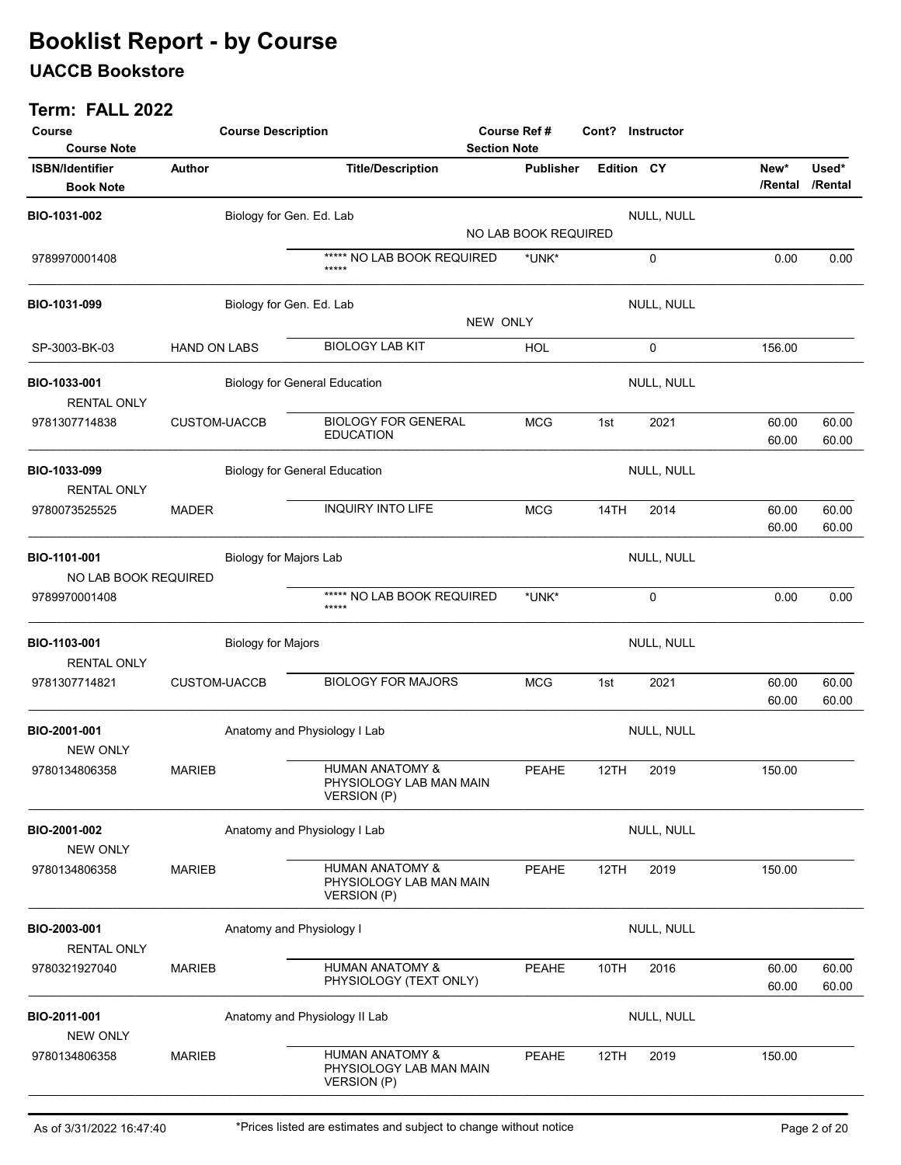### UACCB Bookstore

| Course<br><b>Course Note</b>               | <b>Course Description</b> |                                      | <b>Course Ref#</b><br><b>Section Note</b>                        |          | Cont? Instructor     |                   |            |                 |                  |
|--------------------------------------------|---------------------------|--------------------------------------|------------------------------------------------------------------|----------|----------------------|-------------------|------------|-----------------|------------------|
| <b>ISBN/Identifier</b><br><b>Book Note</b> | Author                    |                                      | <b>Title/Description</b>                                         |          | <b>Publisher</b>     | <b>Edition CY</b> |            | New*<br>/Rental | Used*<br>/Rental |
| BIO-1031-002                               |                           | Biology for Gen. Ed. Lab             |                                                                  |          |                      |                   | NULL, NULL |                 |                  |
|                                            |                           |                                      |                                                                  |          | NO LAB BOOK REQUIRED |                   |            |                 |                  |
| 9789970001408                              |                           |                                      | ***** NO LAB BOOK REQUIRED<br>$****$                             |          | *UNK*                |                   | 0          | 0.00            | 0.00             |
| BIO-1031-099                               |                           | Biology for Gen. Ed. Lab             |                                                                  | NEW ONLY |                      |                   | NULL, NULL |                 |                  |
| SP-3003-BK-03                              | HAND ON LABS              |                                      | <b>BIOLOGY LAB KIT</b>                                           |          | <b>HOL</b>           |                   | 0          | 156.00          |                  |
| BIO-1033-001<br><b>RENTAL ONLY</b>         |                           | <b>Biology for General Education</b> |                                                                  |          |                      |                   | NULL, NULL |                 |                  |
| 9781307714838                              | <b>CUSTOM-UACCB</b>       |                                      | <b>BIOLOGY FOR GENERAL</b><br><b>EDUCATION</b>                   |          | <b>MCG</b>           | 1st               | 2021       | 60.00<br>60.00  | 60.00<br>60.00   |
| BIO-1033-099<br><b>RENTAL ONLY</b>         |                           | <b>Biology for General Education</b> |                                                                  |          |                      |                   | NULL, NULL |                 |                  |
| 9780073525525                              | <b>MADER</b>              |                                      | <b>INQUIRY INTO LIFE</b>                                         |          | <b>MCG</b>           | 14TH              | 2014       | 60.00<br>60.00  | 60.00<br>60.00   |
| BIO-1101-001<br>NO LAB BOOK REQUIRED       |                           | Biology for Majors Lab               |                                                                  |          |                      |                   | NULL, NULL |                 |                  |
| 9789970001408                              |                           |                                      | ***** NO LAB BOOK REQUIRED<br>*****                              |          | *UNK*                |                   | 0          | 0.00            | 0.00             |
| BIO-1103-001<br><b>RENTAL ONLY</b>         |                           | <b>Biology for Majors</b>            |                                                                  |          |                      |                   | NULL, NULL |                 |                  |
| 9781307714821                              | <b>CUSTOM-UACCB</b>       |                                      | <b>BIOLOGY FOR MAJORS</b>                                        |          | <b>MCG</b>           | 1st               | 2021       | 60.00<br>60.00  | 60.00<br>60.00   |
| BIO-2001-001<br><b>NEW ONLY</b>            |                           | Anatomy and Physiology I Lab         |                                                                  |          |                      |                   | NULL, NULL |                 |                  |
| 9780134806358                              | <b>MARIEB</b>             |                                      | HUMAN ANATOMY &<br>PHYSIOLOGY LAB MAN MAIN<br><b>VERSION (P)</b> |          | <b>PEAHE</b>         | 12TH              | 2019       | 150.00          |                  |
| BIO-2001-002<br><b>NEW ONLY</b>            |                           | Anatomy and Physiology I Lab         |                                                                  |          |                      |                   | NULL, NULL |                 |                  |
| 9780134806358                              | <b>MARIEB</b>             |                                      | HUMAN ANATOMY &<br>PHYSIOLOGY LAB MAN MAIN<br><b>VERSION (P)</b> |          | <b>PEAHE</b>         | 12TH              | 2019       | 150.00          |                  |
| BIO-2003-001<br><b>RENTAL ONLY</b>         |                           | Anatomy and Physiology I             |                                                                  |          |                      |                   | NULL, NULL |                 |                  |
| 9780321927040                              | <b>MARIEB</b>             |                                      | HUMAN ANATOMY &<br>PHYSIOLOGY (TEXT ONLY)                        |          | <b>PEAHE</b>         | 10TH              | 2016       | 60.00<br>60.00  | 60.00<br>60.00   |
| BIO-2011-001<br><b>NEW ONLY</b>            |                           | Anatomy and Physiology II Lab        |                                                                  |          |                      |                   | NULL, NULL |                 |                  |
| 9780134806358                              | <b>MARIEB</b>             |                                      | HUMAN ANATOMY &<br>PHYSIOLOGY LAB MAN MAIN<br><b>VERSION (P)</b> |          | PEAHE                | 12TH              | 2019       | 150.00          |                  |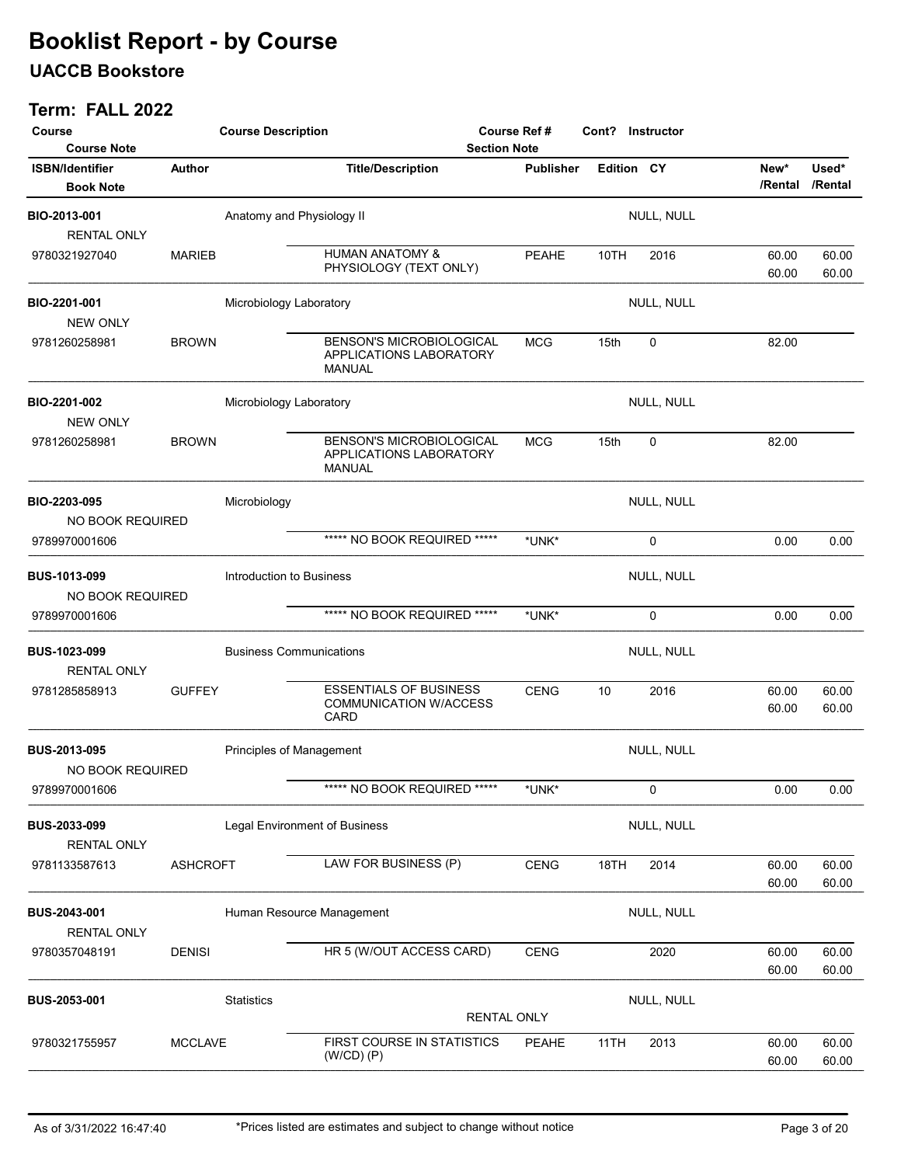### UACCB Bookstore

| Course<br><b>Course Note</b>               |                 | <b>Course Description</b>      |                                                                             |                    | Course Ref #<br>Cont? Instructor<br><b>Section Note</b> |             |                 |                  |
|--------------------------------------------|-----------------|--------------------------------|-----------------------------------------------------------------------------|--------------------|---------------------------------------------------------|-------------|-----------------|------------------|
| <b>ISBN/Identifier</b><br><b>Book Note</b> | Author          |                                | <b>Title/Description</b>                                                    | <b>Publisher</b>   | Edition CY                                              |             | New*<br>/Rental | Used*<br>/Rental |
| BIO-2013-001<br><b>RENTAL ONLY</b>         |                 | Anatomy and Physiology II      |                                                                             |                    |                                                         | NULL, NULL  |                 |                  |
| 9780321927040                              | <b>MARIEB</b>   |                                | <b>HUMAN ANATOMY &amp;</b><br>PHYSIOLOGY (TEXT ONLY)                        | <b>PEAHE</b>       | 10TH                                                    | 2016        | 60.00<br>60.00  | 60.00<br>60.00   |
| BIO-2201-001<br><b>NEW ONLY</b>            |                 | Microbiology Laboratory        |                                                                             |                    |                                                         | NULL, NULL  |                 |                  |
| 9781260258981                              | <b>BROWN</b>    |                                | <b>BENSON'S MICROBIOLOGICAL</b><br>APPLICATIONS LABORATORY<br><b>MANUAL</b> | <b>MCG</b>         | 15th                                                    | 0           | 82.00           |                  |
| BIO-2201-002<br><b>NEW ONLY</b>            |                 | Microbiology Laboratory        |                                                                             |                    |                                                         | NULL, NULL  |                 |                  |
| 9781260258981                              | <b>BROWN</b>    |                                | <b>BENSON'S MICROBIOLOGICAL</b><br>APPLICATIONS LABORATORY<br><b>MANUAL</b> | <b>MCG</b>         | 15th                                                    | $\mathbf 0$ | 82.00           |                  |
| BIO-2203-095<br>NO BOOK REQUIRED           |                 | Microbiology                   |                                                                             |                    |                                                         | NULL, NULL  |                 |                  |
| 9789970001606                              |                 |                                | ***** NO BOOK REQUIRED *****                                                | *UNK*              |                                                         | 0           | 0.00            | 0.00             |
| <b>BUS-1013-099</b><br>NO BOOK REQUIRED    |                 | Introduction to Business       |                                                                             |                    |                                                         | NULL, NULL  |                 |                  |
| 9789970001606                              |                 |                                | ***** NO BOOK REQUIRED *****                                                | *UNK*              |                                                         | 0           | 0.00            | 0.00             |
| <b>BUS-1023-099</b><br><b>RENTAL ONLY</b>  |                 | <b>Business Communications</b> |                                                                             |                    |                                                         | NULL, NULL  |                 |                  |
| 9781285858913                              | <b>GUFFEY</b>   |                                | <b>ESSENTIALS OF BUSINESS</b><br><b>COMMUNICATION W/ACCESS</b><br>CARD      | <b>CENG</b>        | 10                                                      | 2016        | 60.00<br>60.00  | 60.00<br>60.00   |
| <b>BUS-2013-095</b><br>NO BOOK REQUIRED    |                 | Principles of Management       |                                                                             |                    |                                                         | NULL, NULL  |                 |                  |
| 9789970001606                              |                 |                                | ***** NO BOOK REQUIRED *****                                                | *UNK*              |                                                         | 0           | 0.00            | 0.00             |
| BUS-2033-099<br><b>RENTAL ONLY</b>         |                 |                                | Legal Environment of Business                                               |                    |                                                         | NULL, NULL  |                 |                  |
| 9781133587613                              | <b>ASHCROFT</b> |                                | LAW FOR BUSINESS (P)                                                        | <b>CENG</b>        | 18TH                                                    | 2014        | 60.00<br>60.00  | 60.00<br>60.00   |
| BUS-2043-001<br><b>RENTAL ONLY</b>         |                 |                                | Human Resource Management                                                   |                    |                                                         | NULL, NULL  |                 |                  |
| 9780357048191                              | <b>DENISI</b>   |                                | HR 5 (W/OUT ACCESS CARD)                                                    | <b>CENG</b>        |                                                         | 2020        | 60.00<br>60.00  | 60.00<br>60.00   |
| BUS-2053-001                               |                 | <b>Statistics</b>              |                                                                             | <b>RENTAL ONLY</b> |                                                         | NULL, NULL  |                 |                  |
| 9780321755957                              | <b>MCCLAVE</b>  |                                | FIRST COURSE IN STATISTICS<br>$(W/CD)$ $(P)$                                | PEAHE              | 11TH                                                    | 2013        | 60.00<br>60.00  | 60.00<br>60.00   |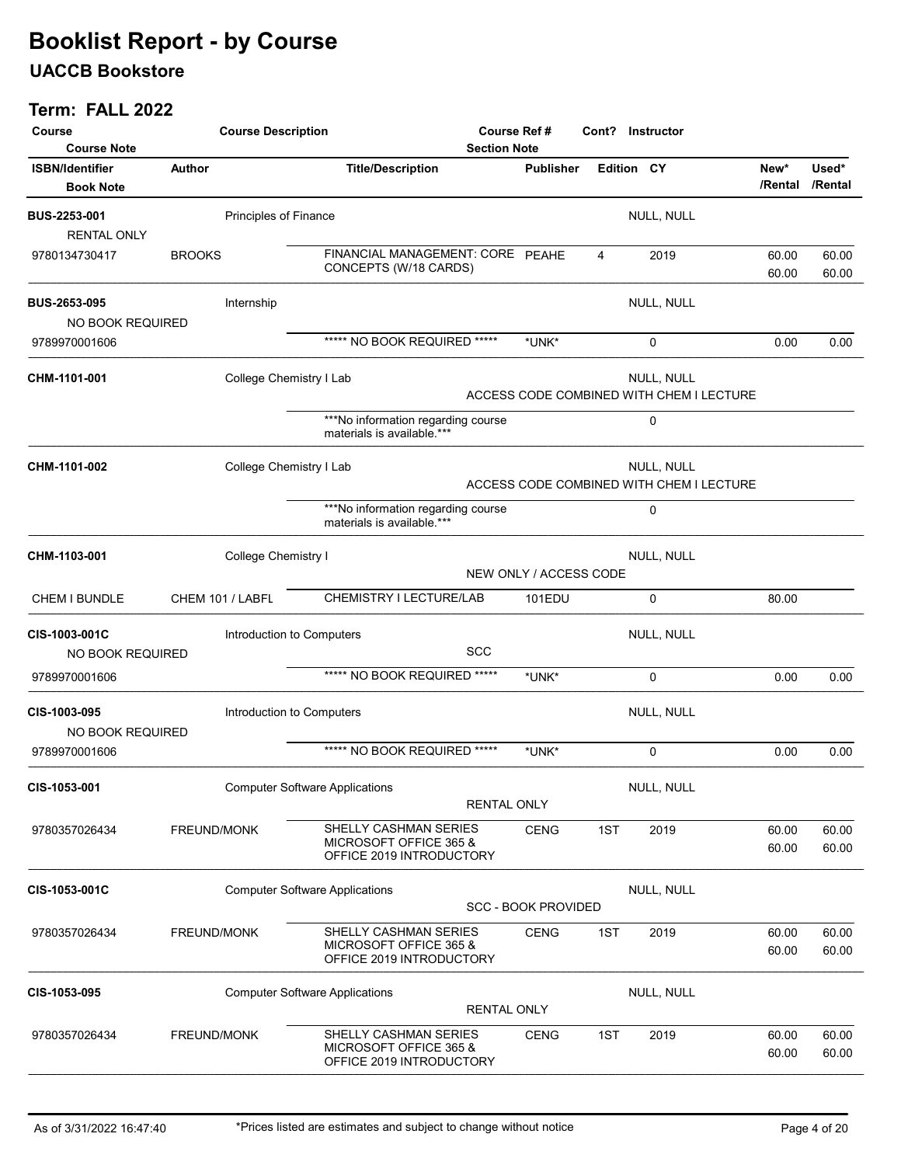### UACCB Bookstore

| Course<br><b>Course Note</b>               | <b>Course Description</b>             |                       |                                                                             | Course Ref #<br><b>Section Note</b> |                                  | Cont? Instructor |                                                        |                |                          |
|--------------------------------------------|---------------------------------------|-----------------------|-----------------------------------------------------------------------------|-------------------------------------|----------------------------------|------------------|--------------------------------------------------------|----------------|--------------------------|
| <b>ISBN/Identifier</b><br><b>Book Note</b> | <b>Author</b>                         |                       | <b>Title/Description</b>                                                    |                                     | <b>Publisher</b>                 | Edition CY       |                                                        | New*           | Used*<br>/Rental /Rental |
| <b>BUS-2253-001</b><br><b>RENTAL ONLY</b>  |                                       | Principles of Finance |                                                                             |                                     |                                  |                  | NULL, NULL                                             |                |                          |
| 9780134730417                              | <b>BROOKS</b>                         |                       | FINANCIAL MANAGEMENT: CORE PEAHE<br>CONCEPTS (W/18 CARDS)                   |                                     |                                  | 4                | 2019                                                   | 60.00<br>60.00 | 60.00<br>60.00           |
| <b>BUS-2653-095</b><br>NO BOOK REQUIRED    |                                       | Internship            |                                                                             |                                     |                                  |                  | NULL, NULL                                             |                |                          |
| 9789970001606                              |                                       |                       | ***** NO BOOK REQUIRED *****                                                |                                     | *UNK*                            |                  | 0                                                      | 0.00           | 0.00                     |
| CHM-1101-001                               |                                       |                       | College Chemistry I Lab                                                     |                                     |                                  |                  | NULL, NULL<br>ACCESS CODE COMBINED WITH CHEM I LECTURE |                |                          |
|                                            |                                       |                       | ***No information regarding course<br>materials is available.***            |                                     |                                  |                  | 0                                                      |                |                          |
| CHM-1101-002                               |                                       |                       | College Chemistry I Lab                                                     |                                     |                                  |                  | NULL, NULL<br>ACCESS CODE COMBINED WITH CHEM I LECTURE |                |                          |
|                                            |                                       |                       | ***No information regarding course<br>materials is available.***            |                                     |                                  |                  | 0                                                      |                |                          |
| CHM-1103-001                               |                                       | College Chemistry I   |                                                                             |                                     | NEW ONLY / ACCESS CODE           |                  | NULL, NULL                                             |                |                          |
| CHEM I BUNDLE                              |                                       | CHEM 101 / LABFL      | CHEMISTRY I LECTURE/LAB                                                     |                                     | 101EDU                           |                  | 0                                                      | 80.00          |                          |
| CIS-1003-001C<br>NO BOOK REQUIRED          |                                       |                       | Introduction to Computers                                                   | <b>SCC</b>                          |                                  |                  | NULL, NULL                                             |                |                          |
| 9789970001606                              |                                       |                       | ***** NO BOOK REQUIRED *****                                                |                                     | *UNK*                            |                  | 0                                                      | 0.00           | 0.00                     |
| <b>CIS-1003-095</b><br>NO BOOK REQUIRED    |                                       |                       | Introduction to Computers                                                   |                                     |                                  |                  | NULL, NULL                                             |                |                          |
| 9789970001606                              |                                       |                       | ***** NO BOOK REQUIRED *****                                                |                                     | *UNK*                            |                  | 0                                                      | 0.00           | 0.00                     |
| CIS-1053-001                               |                                       |                       | <b>Computer Software Applications</b>                                       | <b>RENTAL ONLY</b>                  |                                  |                  | NULL, NULL                                             |                |                          |
| 9780357026434                              | FREUND/MONK                           |                       | SHELLY CASHMAN SERIES<br>MICROSOFT OFFICE 365 &<br>OFFICE 2019 INTRODUCTORY |                                     | <b>CENG</b>                      | 1ST              | 2019                                                   | 60.00<br>60.00 | 60.00<br>60.00           |
| CIS-1053-001C                              |                                       |                       | <b>Computer Software Applications</b>                                       |                                     | <b>SCC - BOOK PROVIDED</b>       |                  | NULL, NULL                                             |                |                          |
| 9780357026434                              | FREUND/MONK                           |                       | SHELLY CASHMAN SERIES<br>MICROSOFT OFFICE 365 &<br>OFFICE 2019 INTRODUCTORY |                                     | <b>CENG</b>                      | 1ST              | 2019                                                   | 60.00<br>60.00 | 60.00<br>60.00           |
| CIS-1053-095                               | <b>Computer Software Applications</b> |                       |                                                                             |                                     | NULL, NULL<br><b>RENTAL ONLY</b> |                  |                                                        |                |                          |
| 9780357026434                              | FREUND/MONK                           |                       | SHELLY CASHMAN SERIES<br>MICROSOFT OFFICE 365 &<br>OFFICE 2019 INTRODUCTORY |                                     | <b>CENG</b>                      | 1ST              | 2019                                                   | 60.00<br>60.00 | 60.00<br>60.00           |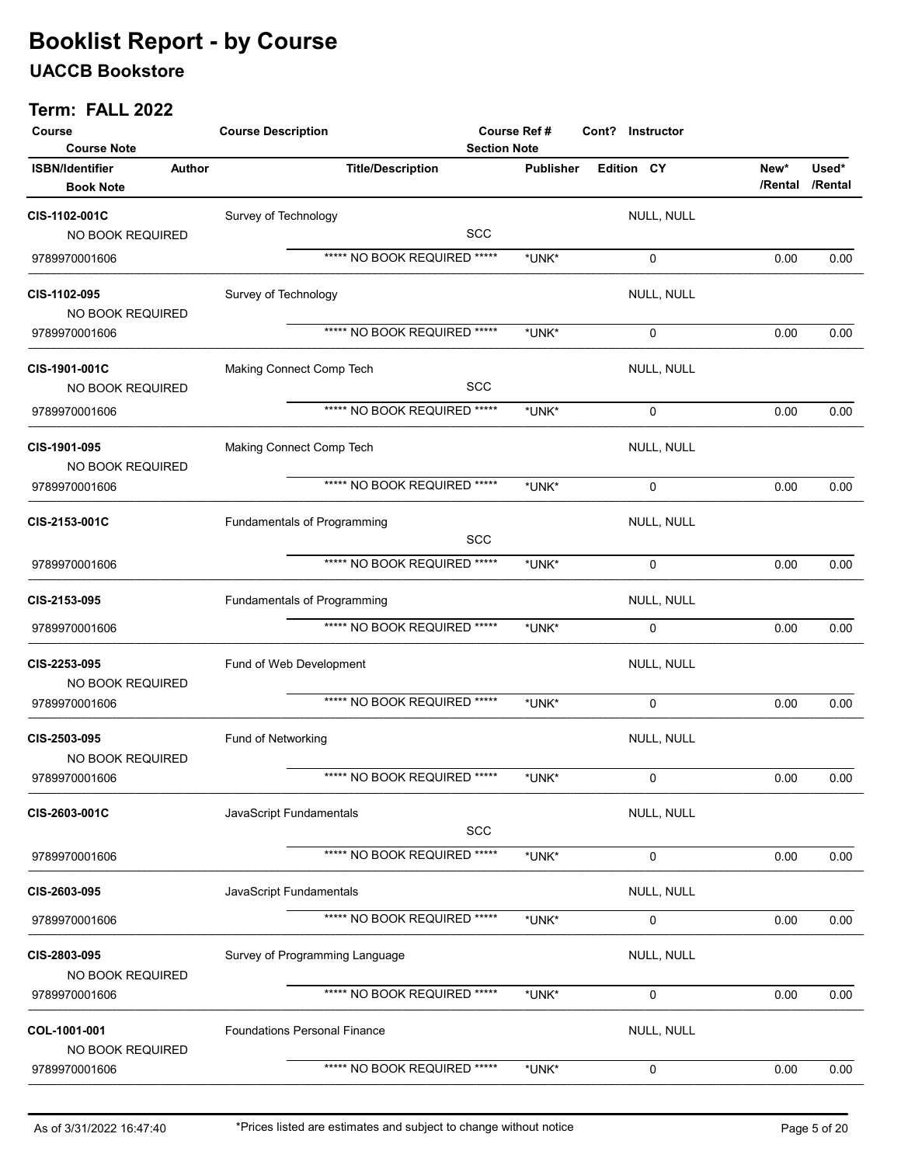### UACCB Bookstore

| Course<br><b>Course Note</b>               |               | <b>Course Description</b><br><b>Course Ref#</b><br>Cont? Instructor<br><b>Section Note</b> |            |                  |            |            |                 |                  |
|--------------------------------------------|---------------|--------------------------------------------------------------------------------------------|------------|------------------|------------|------------|-----------------|------------------|
| <b>ISBN/Identifier</b><br><b>Book Note</b> | <b>Author</b> | <b>Title/Description</b>                                                                   |            | <b>Publisher</b> | Edition CY |            | New*<br>/Rental | Used*<br>/Rental |
| CIS-1102-001C                              |               | Survey of Technology                                                                       |            |                  |            | NULL, NULL |                 |                  |
| NO BOOK REQUIRED                           |               |                                                                                            | <b>SCC</b> |                  |            |            |                 |                  |
| 9789970001606                              |               | ***** NO BOOK REQUIRED *****                                                               |            | *UNK*            |            | 0          | 0.00            | 0.00             |
| CIS-1102-095<br>NO BOOK REQUIRED           |               | Survey of Technology                                                                       |            |                  |            | NULL, NULL |                 |                  |
| 9789970001606                              |               | ***** NO BOOK REQUIRED *****                                                               |            | *UNK*            |            | 0          | 0.00            | 0.00             |
| CIS-1901-001C<br>NO BOOK REQUIRED          |               | Making Connect Comp Tech                                                                   | <b>SCC</b> |                  |            | NULL, NULL |                 |                  |
| 9789970001606                              |               | ***** NO BOOK REQUIRED *****                                                               |            | *UNK*            |            | 0          | 0.00            | 0.00             |
| CIS-1901-095<br>NO BOOK REQUIRED           |               | Making Connect Comp Tech                                                                   |            |                  |            | NULL, NULL |                 |                  |
| 9789970001606                              |               | ***** NO BOOK REQUIRED *****                                                               |            | *UNK*            |            | 0          | 0.00            | 0.00             |
| CIS-2153-001C                              |               | Fundamentals of Programming                                                                | <b>SCC</b> |                  |            | NULL, NULL |                 |                  |
| 9789970001606                              |               | ***** NO BOOK REQUIRED *****                                                               |            | *UNK*            |            | 0          | 0.00            | 0.00             |
| CIS-2153-095                               |               | Fundamentals of Programming                                                                |            |                  |            | NULL, NULL |                 |                  |
| 9789970001606                              |               | ***** NO BOOK REQUIRED *****                                                               |            | *UNK*            |            | 0          | 0.00            | 0.00             |
| CIS-2253-095<br>NO BOOK REQUIRED           |               | Fund of Web Development                                                                    |            |                  |            | NULL, NULL |                 |                  |
| 9789970001606                              |               | ***** NO BOOK REQUIRED *****                                                               |            | *UNK*            |            | 0          | 0.00            | 0.00             |
| CIS-2503-095<br>NO BOOK REQUIRED           |               | Fund of Networking                                                                         |            |                  |            | NULL, NULL |                 |                  |
| 9789970001606                              |               | ***** NO BOOK REQUIRED *****                                                               |            | *UNK*            |            | 0          | 0.00            | 0.00             |
| CIS-2603-001C                              |               | JavaScript Fundamentals                                                                    | SCC        |                  |            | NULL, NULL |                 |                  |
| 9789970001606                              |               | ***** NO BOOK REQUIRED *****                                                               |            | *UNK*            |            | 0          | 0.00            | 0.00             |
| CIS-2603-095                               |               | JavaScript Fundamentals                                                                    |            |                  |            | NULL, NULL |                 |                  |
| 9789970001606                              |               | ***** NO BOOK REQUIRED *****                                                               |            | *UNK*            |            | 0          | 0.00            | 0.00             |
| CIS-2803-095<br>NO BOOK REQUIRED           |               | Survey of Programming Language                                                             |            |                  |            | NULL, NULL |                 |                  |
| 9789970001606                              |               | ***** NO BOOK REQUIRED *****                                                               |            | *UNK*            |            | 0          | 0.00            | 0.00             |
| COL-1001-001<br>NO BOOK REQUIRED           |               | <b>Foundations Personal Finance</b>                                                        |            |                  |            | NULL, NULL |                 |                  |
| 9789970001606                              |               | ***** NO BOOK REQUIRED *****                                                               |            | *UNK*            |            | 0          | 0.00            | 0.00             |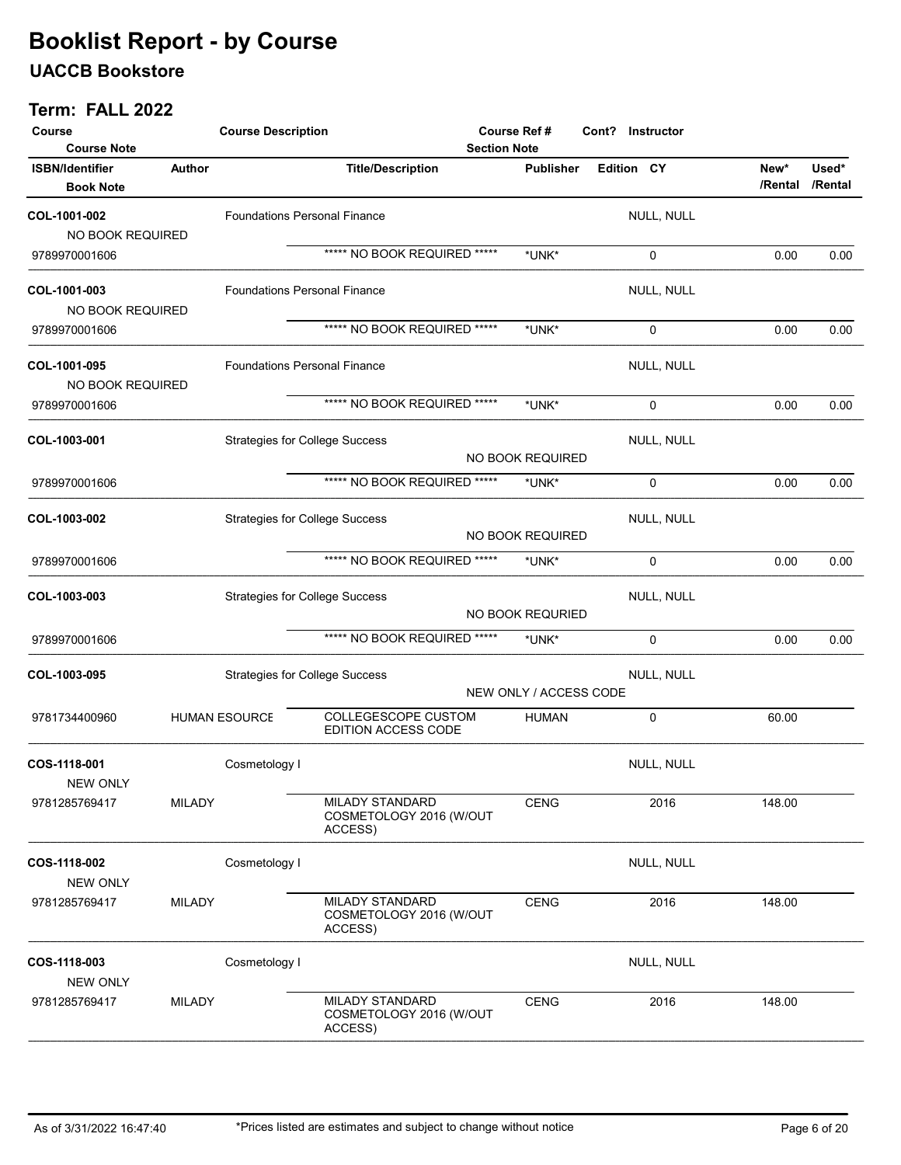### UACCB Bookstore

| Course<br><b>Course Note</b>               |               | <b>Course Description</b>             |                                                       | <b>Section Note</b> | <b>Course Ref#</b>     | Cont? Instructor |            |                 |                  |
|--------------------------------------------|---------------|---------------------------------------|-------------------------------------------------------|---------------------|------------------------|------------------|------------|-----------------|------------------|
| <b>ISBN/Identifier</b><br><b>Book Note</b> | Author        |                                       | <b>Title/Description</b>                              |                     | <b>Publisher</b>       | Edition CY       |            | New*<br>/Rental | Used*<br>/Rental |
| COL-1001-002<br>NO BOOK REQUIRED           |               | <b>Foundations Personal Finance</b>   |                                                       |                     |                        |                  | NULL, NULL |                 |                  |
| 9789970001606                              |               |                                       | ***** NO BOOK REQUIRED *****                          |                     | *UNK*                  |                  | 0          | 0.00            | 0.00             |
| COL-1001-003<br>NO BOOK REQUIRED           |               | <b>Foundations Personal Finance</b>   |                                                       |                     |                        |                  | NULL, NULL |                 |                  |
| 9789970001606                              |               |                                       | ***** NO BOOK REQUIRED *****                          |                     | *UNK*                  |                  | 0          | 0.00            | 0.00             |
| COL-1001-095<br>NO BOOK REQUIRED           |               | <b>Foundations Personal Finance</b>   |                                                       |                     |                        |                  | NULL, NULL |                 |                  |
| 9789970001606                              |               |                                       | ***** NO BOOK REQUIRED *****                          |                     | *UNK*                  |                  | 0          | 0.00            | 0.00             |
| COL-1003-001                               |               | <b>Strategies for College Success</b> |                                                       |                     | NO BOOK REQUIRED       |                  | NULL, NULL |                 |                  |
| 9789970001606                              |               |                                       | ***** NO BOOK REQUIRED *****                          |                     | *UNK*                  |                  | 0          | 0.00            | 0.00             |
| COL-1003-002                               |               | <b>Strategies for College Success</b> |                                                       |                     | NO BOOK REQUIRED       |                  | NULL, NULL |                 |                  |
| 9789970001606                              |               |                                       | ***** NO BOOK REQUIRED *****                          |                     | *UNK*                  |                  | 0          | 0.00            | 0.00             |
| COL-1003-003                               |               | <b>Strategies for College Success</b> |                                                       |                     | NO BOOK REQURIED       |                  | NULL, NULL |                 |                  |
| 9789970001606                              |               |                                       | ***** NO BOOK REQUIRED *****                          |                     | *UNK*                  |                  | 0          | 0.00            | 0.00             |
| COL-1003-095                               |               | <b>Strategies for College Success</b> |                                                       |                     | NEW ONLY / ACCESS CODE |                  | NULL, NULL |                 |                  |
| 9781734400960                              |               | <b>HUMAN ESOURCE</b>                  | <b>COLLEGESCOPE CUSTOM</b><br>EDITION ACCESS CODE     |                     | <b>HUMAN</b>           |                  | 0          | 60.00           |                  |
| COS-1118-001<br><b>NEW ONLY</b>            |               | Cosmetology I                         |                                                       |                     |                        |                  | NULL, NULL |                 |                  |
| 9781285769417                              | <b>MILADY</b> |                                       | MILADY STANDARD<br>COSMETOLOGY 2016 (W/OUT<br>ACCESS) |                     | <b>CENG</b>            |                  | 2016       | 148.00          |                  |
| COS-1118-002<br><b>NEW ONLY</b>            |               | Cosmetology I                         |                                                       |                     |                        |                  | NULL, NULL |                 |                  |
| 9781285769417                              | <b>MILADY</b> |                                       | MILADY STANDARD<br>COSMETOLOGY 2016 (W/OUT<br>ACCESS) |                     | <b>CENG</b>            |                  | 2016       | 148.00          |                  |
| COS-1118-003<br><b>NEW ONLY</b>            |               | Cosmetology I                         |                                                       |                     |                        |                  | NULL, NULL |                 |                  |
| 9781285769417                              | <b>MILADY</b> |                                       | MILADY STANDARD<br>COSMETOLOGY 2016 (W/OUT<br>ACCESS) |                     | <b>CENG</b>            |                  | 2016       | 148.00          |                  |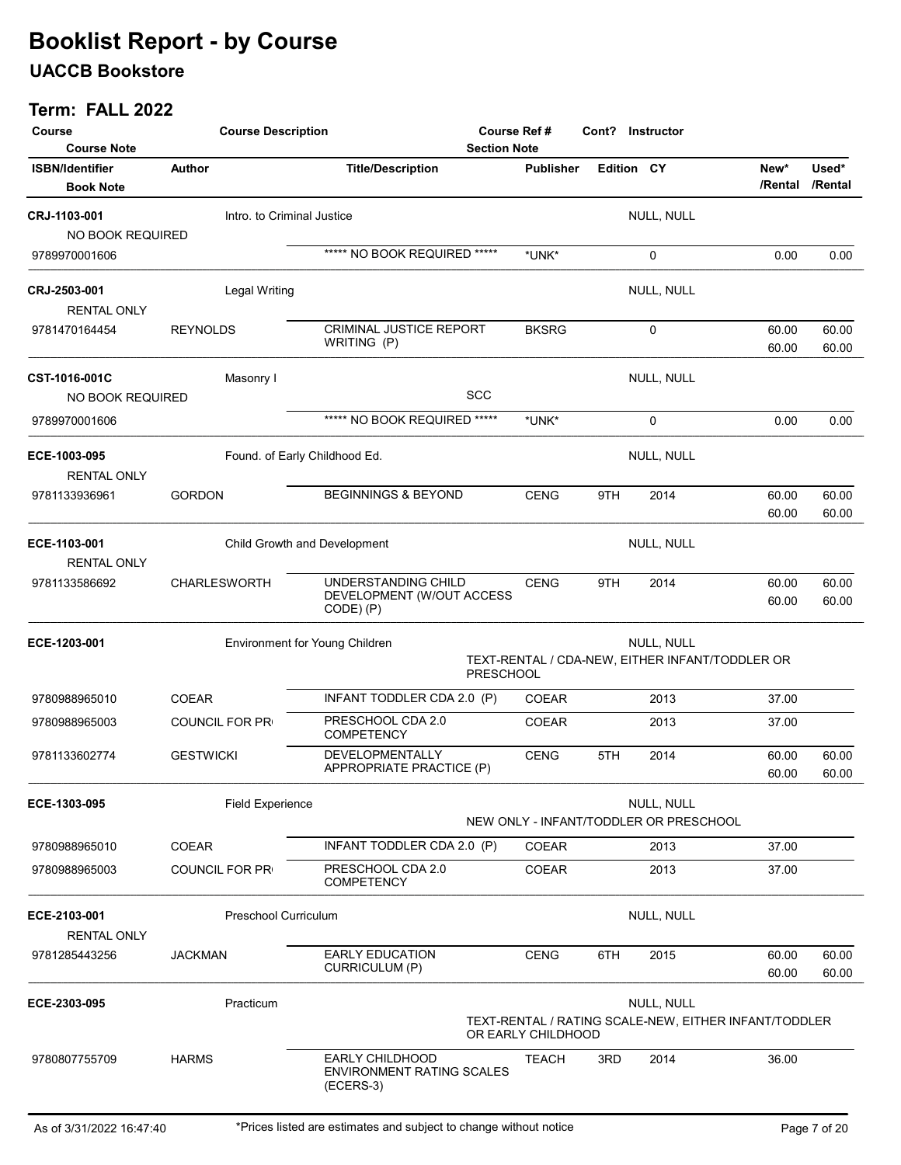### UACCB Bookstore

| Course<br><b>Course Note</b>               | <b>Course Description</b>     |                                                                         | Course Ref #<br>Cont? Instructor<br><b>Section Note</b>                                   |            |                                                               |                 |                  |  |
|--------------------------------------------|-------------------------------|-------------------------------------------------------------------------|-------------------------------------------------------------------------------------------|------------|---------------------------------------------------------------|-----------------|------------------|--|
| <b>ISBN/Identifier</b><br><b>Book Note</b> | Author                        | <b>Title/Description</b>                                                | <b>Publisher</b>                                                                          | Edition CY |                                                               | New*<br>/Rental | Used*<br>/Rental |  |
| <b>CRJ-1103-001</b><br>NO BOOK REQUIRED    | Intro, to Criminal Justice    |                                                                         |                                                                                           |            | NULL, NULL                                                    |                 |                  |  |
| 9789970001606                              |                               | ***** NO BOOK REQUIRED *****                                            | *UNK*                                                                                     |            | 0                                                             | 0.00            | 0.00             |  |
| <b>CRJ-2503-001</b><br><b>RENTAL ONLY</b>  | <b>Legal Writing</b>          |                                                                         |                                                                                           |            | NULL, NULL                                                    |                 |                  |  |
| 9781470164454                              | <b>REYNOLDS</b>               | <b>CRIMINAL JUSTICE REPORT</b><br>WRITING (P)                           | <b>BKSRG</b>                                                                              |            | 0                                                             | 60.00<br>60.00  | 60.00<br>60.00   |  |
| <b>CST-1016-001C</b><br>NO BOOK REQUIRED   | Masonry I                     | <b>SCC</b>                                                              |                                                                                           |            | NULL, NULL                                                    |                 |                  |  |
| 9789970001606                              |                               | ***** NO BOOK REQUIRED *****                                            | *UNK*                                                                                     |            | 0                                                             | 0.00            | 0.00             |  |
| ECE-1003-095<br><b>RENTAL ONLY</b>         | Found. of Early Childhood Ed. |                                                                         |                                                                                           |            | NULL, NULL                                                    |                 |                  |  |
| 9781133936961                              | <b>GORDON</b>                 | <b>BEGINNINGS &amp; BEYOND</b>                                          | <b>CENG</b>                                                                               | 9TH        | 2014                                                          | 60.00<br>60.00  | 60.00<br>60.00   |  |
| ECE-1103-001<br><b>RENTAL ONLY</b>         |                               | Child Growth and Development                                            |                                                                                           |            | NULL, NULL                                                    |                 |                  |  |
| 9781133586692                              | <b>CHARLESWORTH</b>           | UNDERSTANDING CHILD<br>DEVELOPMENT (W/OUT ACCESS<br>CODE) (P)           | <b>CENG</b>                                                                               | 9TH        | 2014                                                          | 60.00<br>60.00  | 60.00<br>60.00   |  |
| ECE-1203-001                               |                               | Environment for Young Children<br><b>PRESCHOOL</b>                      |                                                                                           |            | NULL, NULL<br>TEXT-RENTAL / CDA-NEW, EITHER INFANT/TODDLER OR |                 |                  |  |
| 9780988965010                              | <b>COEAR</b>                  | INFANT TODDLER CDA 2.0 (P)                                              | <b>COEAR</b>                                                                              |            | 2013                                                          | 37.00           |                  |  |
| 9780988965003                              | <b>COUNCIL FOR PR</b>         | PRESCHOOL CDA 2.0<br><b>COMPETENCY</b>                                  | <b>COEAR</b>                                                                              |            | 2013                                                          | 37.00           |                  |  |
| 9781133602774                              | <b>GESTWICKI</b>              | <b>DEVELOPMENTALLY</b><br>APPROPRIATE PRACTICE (P)                      | <b>CENG</b>                                                                               | 5TH        | 2014                                                          | 60.00<br>60.00  | 60.00<br>60.00   |  |
| ECE-1303-095                               | <b>Field Experience</b>       |                                                                         |                                                                                           |            | NULL, NULL<br>NEW ONLY - INFANT/TODDLER OR PRESCHOOL          |                 |                  |  |
| 9780988965010                              | <b>COEAR</b>                  | INFANT TODDLER CDA 2.0 (P)                                              | COEAR                                                                                     |            | 2013                                                          | 37.00           |                  |  |
| 9780988965003                              | <b>COUNCIL FOR PR</b>         | PRESCHOOL CDA 2.0<br><b>COMPETENCY</b>                                  | COEAR                                                                                     |            | 2013                                                          | 37.00           |                  |  |
| ECE-2103-001<br><b>RENTAL ONLY</b>         | Preschool Curriculum          |                                                                         |                                                                                           |            | NULL, NULL                                                    |                 |                  |  |
| 9781285443256                              | <b>JACKMAN</b>                | <b>EARLY EDUCATION</b><br><b>CURRICULUM (P)</b>                         | <b>CENG</b>                                                                               | 6TH        | 2015                                                          | 60.00<br>60.00  | 60.00<br>60.00   |  |
| ECE-2303-095                               | Practicum                     |                                                                         | NULL, NULL<br>TEXT-RENTAL / RATING SCALE-NEW, EITHER INFANT/TODDLER<br>OR EARLY CHILDHOOD |            |                                                               |                 |                  |  |
| 9780807755709                              | <b>HARMS</b>                  | <b>EARLY CHILDHOOD</b><br><b>ENVIRONMENT RATING SCALES</b><br>(ECERS-3) | <b>TEACH</b>                                                                              | 3RD        | 2014                                                          | 36.00           |                  |  |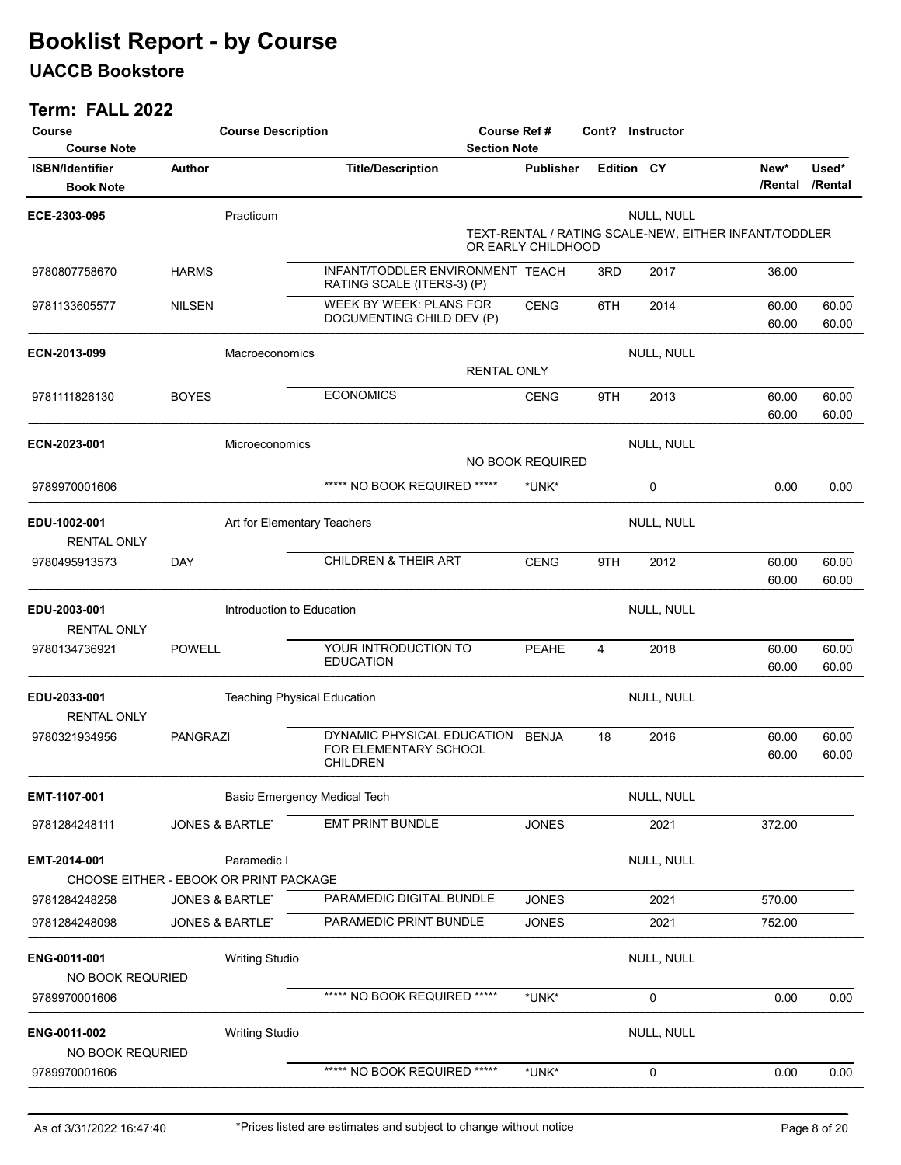### UACCB Bookstore

| Course                                     | <b>Course Description</b> |                                                        |                                                                        | Course Ref #                 | Cont? Instructor |              |                                                       |                  |
|--------------------------------------------|---------------------------|--------------------------------------------------------|------------------------------------------------------------------------|------------------------------|------------------|--------------|-------------------------------------------------------|------------------|
| <b>Course Note</b>                         |                           |                                                        | <b>Section Note</b>                                                    |                              |                  |              |                                                       |                  |
| <b>ISBN/Identifier</b><br><b>Book Note</b> | <b>Author</b>             |                                                        | <b>Title/Description</b>                                               | <b>Publisher</b>             |                  | Edition CY   | New*<br>/Rental                                       | Used*<br>/Rental |
| ECE-2303-095                               |                           | Practicum                                              |                                                                        |                              |                  | NULL, NULL   |                                                       |                  |
|                                            |                           |                                                        |                                                                        | OR EARLY CHILDHOOD           |                  |              | TEXT-RENTAL / RATING SCALE-NEW, EITHER INFANT/TODDLER |                  |
| 9780807758670                              | <b>HARMS</b>              |                                                        | INFANT/TODDLER ENVIRONMENT TEACH<br>RATING SCALE (ITERS-3) (P)         |                              | 3RD              | 2017         | 36.00                                                 |                  |
| 9781133605577                              | <b>NILSEN</b>             |                                                        | WEEK BY WEEK: PLANS FOR<br>DOCUMENTING CHILD DEV (P)                   | <b>CENG</b>                  | 6TH              | 2014         | 60.00<br>60.00                                        | 60.00<br>60.00   |
| ECN-2013-099                               |                           | Macroeconomics                                         |                                                                        |                              |                  | NULL, NULL   |                                                       |                  |
|                                            |                           |                                                        | <b>RENTAL ONLY</b>                                                     |                              |                  |              |                                                       |                  |
| 9781111826130                              | <b>BOYES</b>              |                                                        | <b>ECONOMICS</b>                                                       | <b>CENG</b>                  | 9TH              | 2013         | 60.00                                                 | 60.00            |
|                                            |                           |                                                        |                                                                        |                              |                  |              | 60.00                                                 | 60.00            |
| ECN-2023-001                               |                           | Microeconomics                                         |                                                                        |                              |                  | NULL, NULL   |                                                       |                  |
|                                            |                           |                                                        |                                                                        | <b>NO BOOK REQUIRED</b>      |                  |              |                                                       |                  |
| 9789970001606                              |                           |                                                        | ***** NO BOOK REQUIRED *****                                           | *UNK*                        |                  | 0            | 0.00                                                  | 0.00             |
| EDU-1002-001<br><b>RENTAL ONLY</b>         |                           | Art for Elementary Teachers                            |                                                                        |                              |                  | NULL, NULL   |                                                       |                  |
| 9780495913573                              | <b>DAY</b>                |                                                        | CHILDREN & THEIR ART                                                   | <b>CENG</b>                  | 9TH              | 2012         | 60.00                                                 | 60.00            |
|                                            |                           |                                                        |                                                                        |                              |                  |              | 60.00                                                 | 60.00            |
| EDU-2003-001<br><b>RENTAL ONLY</b>         |                           | Introduction to Education                              |                                                                        |                              |                  | NULL, NULL   |                                                       |                  |
| 9780134736921                              | <b>POWELL</b>             |                                                        | YOUR INTRODUCTION TO<br><b>EDUCATION</b>                               | PEAHE                        | 4                | 2018         | 60.00<br>60.00                                        | 60.00<br>60.00   |
| EDU-2033-001<br><b>RENTAL ONLY</b>         |                           | <b>Teaching Physical Education</b>                     |                                                                        |                              |                  | NULL, NULL   |                                                       |                  |
| 9780321934956                              | <b>PANGRAZI</b>           |                                                        | DYNAMIC PHYSICAL EDUCATION<br>FOR ELEMENTARY SCHOOL<br><b>CHILDREN</b> | <b>BENJA</b>                 | 18               | 2016         | 60.00<br>60.00                                        | 60.00<br>60.00   |
| EMT-1107-001                               |                           | Basic Emergency Medical Tech                           |                                                                        |                              |                  | NULL, NULL   |                                                       |                  |
| 9781284248111                              |                           | <b>JONES &amp; BARTLE</b>                              | EMT PRINT BUNDLE                                                       | <b>JONES</b>                 |                  | 2021         | 372.00                                                |                  |
| EMT-2014-001                               |                           | Paramedic I                                            |                                                                        |                              |                  | NULL, NULL   |                                                       |                  |
|                                            |                           | CHOOSE EITHER - EBOOK OR PRINT PACKAGE                 | PARAMEDIC DIGITAL BUNDLE                                               |                              |                  |              |                                                       |                  |
| 9781284248258<br>9781284248098             |                           | <b>JONES &amp; BARTLE</b><br><b>JONES &amp; BARTLE</b> | PARAMEDIC PRINT BUNDLE                                                 | <b>JONES</b><br><b>JONES</b> |                  | 2021<br>2021 | 570.00<br>752.00                                      |                  |
|                                            |                           |                                                        |                                                                        |                              |                  |              |                                                       |                  |
| ENG-0011-001                               |                           | <b>Writing Studio</b>                                  |                                                                        |                              |                  | NULL, NULL   |                                                       |                  |
| NO BOOK REQURIED                           |                           |                                                        |                                                                        |                              |                  |              |                                                       |                  |
| 9789970001606                              |                           |                                                        | ***** NO BOOK REQUIRED *****                                           | *UNK*                        |                  | $\pmb{0}$    | 0.00                                                  | 0.00             |
| ENG-0011-002<br>NO BOOK REQURIED           |                           | <b>Writing Studio</b>                                  |                                                                        |                              |                  | NULL, NULL   |                                                       |                  |
| 9789970001606                              |                           |                                                        | ***** NO BOOK REQUIRED *****                                           | *UNK*                        |                  | 0            | 0.00                                                  | 0.00             |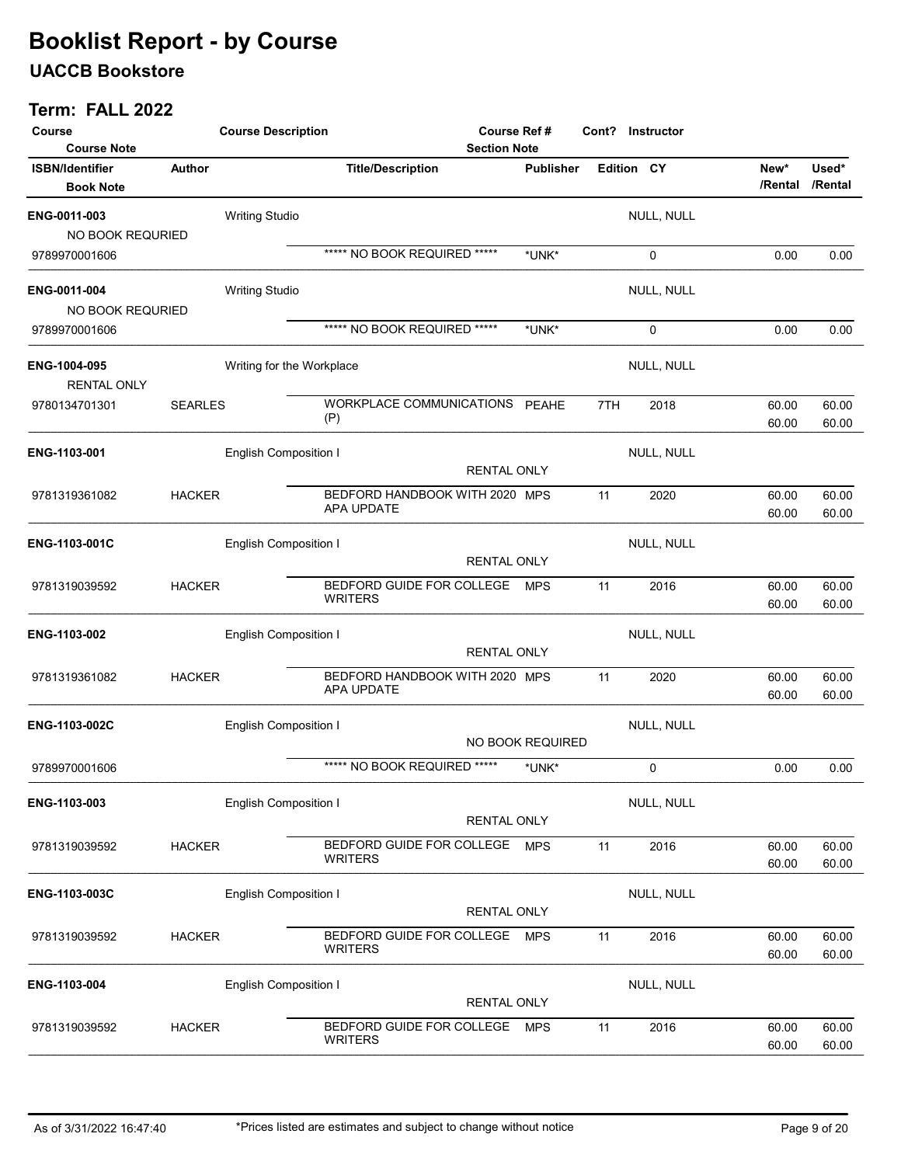### UACCB Bookstore

| Course<br><b>Course Note</b>               |                | <b>Course Description</b>    |                                              | <b>Course Ref#</b><br><b>Section Note</b> |                  |     | Cont? Instructor  |                 |                  |
|--------------------------------------------|----------------|------------------------------|----------------------------------------------|-------------------------------------------|------------------|-----|-------------------|-----------------|------------------|
| <b>ISBN/Identifier</b><br><b>Book Note</b> | Author         |                              | <b>Title/Description</b>                     |                                           | <b>Publisher</b> |     | <b>Edition CY</b> | New*<br>/Rental | Used*<br>/Rental |
| ENG-0011-003<br>NO BOOK REQURIED           |                | <b>Writing Studio</b>        |                                              |                                           |                  |     | NULL, NULL        |                 |                  |
| 9789970001606                              |                |                              | ***** NO BOOK REQUIRED *****                 |                                           | *UNK*            |     | 0                 | 0.00            | 0.00             |
| ENG-0011-004<br>NO BOOK REQURIED           |                | <b>Writing Studio</b>        |                                              |                                           |                  |     | NULL, NULL        |                 |                  |
| 9789970001606                              |                |                              | ***** NO BOOK REQUIRED *****                 |                                           | *UNK*            |     | 0                 | 0.00            | 0.00             |
| ENG-1004-095<br><b>RENTAL ONLY</b>         |                | Writing for the Workplace    |                                              |                                           |                  |     | NULL, NULL        |                 |                  |
| 9780134701301                              | <b>SEARLES</b> |                              | WORKPLACE COMMUNICATIONS PEAHE<br>(P)        |                                           |                  | 7TH | 2018              | 60.00<br>60.00  | 60.00<br>60.00   |
| ENG-1103-001                               |                | English Composition I        |                                              | <b>RENTAL ONLY</b>                        |                  |     | NULL, NULL        |                 |                  |
| 9781319361082                              | <b>HACKER</b>  |                              | BEDFORD HANDBOOK WITH 2020 MPS<br>APA UPDATE |                                           |                  | 11  | 2020              | 60.00<br>60.00  | 60.00<br>60.00   |
| ENG-1103-001C                              |                | <b>English Composition I</b> |                                              | <b>RENTAL ONLY</b>                        |                  |     | NULL, NULL        |                 |                  |
| 9781319039592                              | <b>HACKER</b>  |                              | BEDFORD GUIDE FOR COLLEGE<br><b>WRITERS</b>  |                                           | <b>MPS</b>       | 11  | 2016              | 60.00<br>60.00  | 60.00<br>60.00   |
| ENG-1103-002                               |                | <b>English Composition I</b> |                                              | <b>RENTAL ONLY</b>                        |                  |     | NULL, NULL        |                 |                  |
| 9781319361082                              | <b>HACKER</b>  |                              | BEDFORD HANDBOOK WITH 2020 MPS<br>APA UPDATE |                                           |                  | 11  | 2020              | 60.00<br>60.00  | 60.00<br>60.00   |
| ENG-1103-002C                              |                | <b>English Composition I</b> |                                              |                                           | NO BOOK REQUIRED |     | NULL, NULL        |                 |                  |
| 9789970001606                              |                |                              | ***** NO BOOK REQUIRED *****                 |                                           | *UNK*            |     | 0                 | 0.00            | 0.00             |
| ENG-1103-003                               |                | <b>English Composition I</b> |                                              | <b>RENTAL ONLY</b>                        |                  |     | NULL, NULL        |                 |                  |
| 9781319039592                              | <b>HACKER</b>  |                              | BEDFORD GUIDE FOR COLLEGE<br><b>WRITERS</b>  |                                           | <b>MPS</b>       | 11  | 2016              | 60.00<br>60.00  | 60.00<br>60.00   |
| ENG-1103-003C                              |                | <b>English Composition I</b> |                                              | RENTAL ONLY                               |                  |     | NULL, NULL        |                 |                  |
| 9781319039592                              | <b>HACKER</b>  |                              | BEDFORD GUIDE FOR COLLEGE<br><b>WRITERS</b>  |                                           | <b>MPS</b>       | 11  | 2016              | 60.00<br>60.00  | 60.00<br>60.00   |
| ENG-1103-004                               |                | <b>English Composition I</b> |                                              | <b>RENTAL ONLY</b>                        |                  |     | NULL, NULL        |                 |                  |
| 9781319039592                              | <b>HACKER</b>  |                              | BEDFORD GUIDE FOR COLLEGE<br><b>WRITERS</b>  |                                           | <b>MPS</b>       | 11  | 2016              | 60.00<br>60.00  | 60.00<br>60.00   |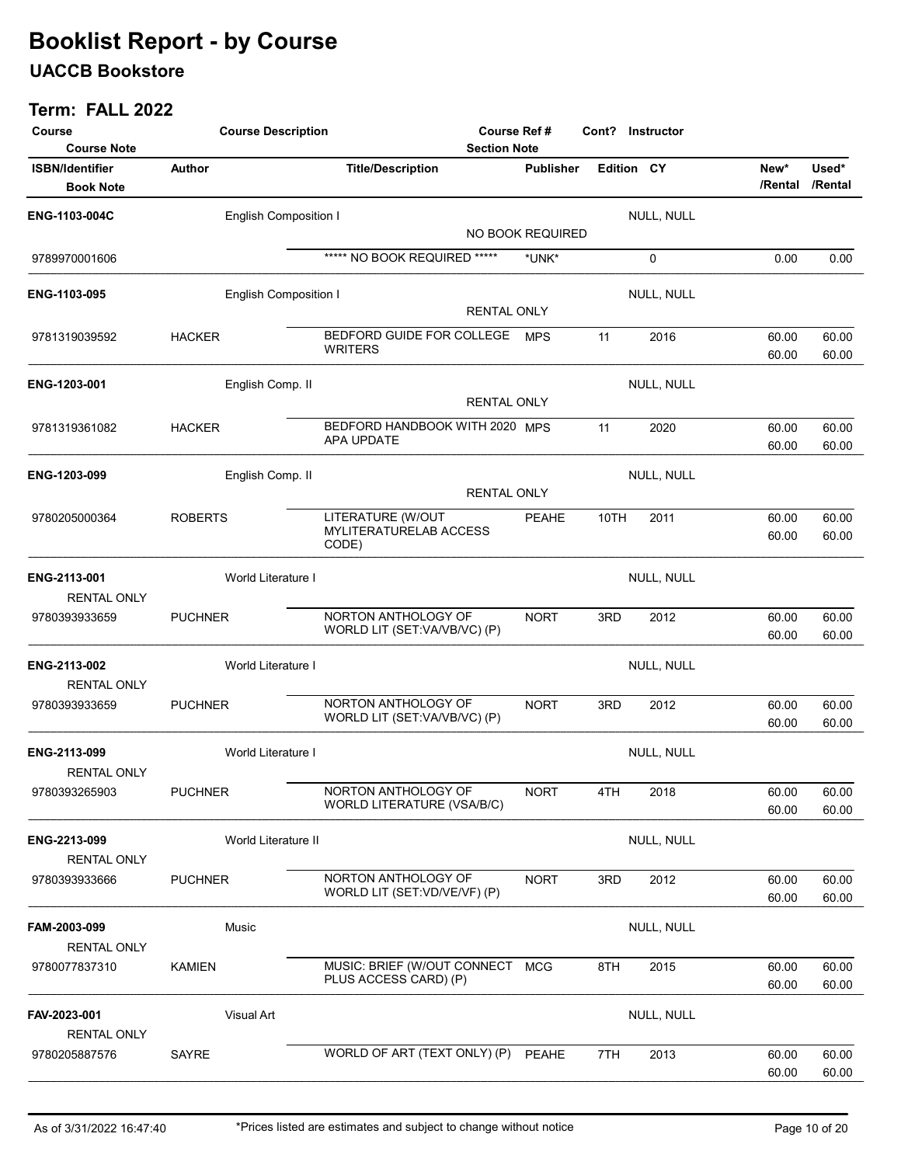### UACCB Bookstore

| Course                                                           | <b>Course Description</b>    |                                                      | <b>Course Ref#</b><br>Cont? Instructor<br><b>Section Note</b> |      |                   |                 |                  |
|------------------------------------------------------------------|------------------------------|------------------------------------------------------|---------------------------------------------------------------|------|-------------------|-----------------|------------------|
| <b>Course Note</b><br><b>ISBN/Identifier</b><br><b>Book Note</b> | <b>Author</b>                | <b>Title/Description</b>                             | <b>Publisher</b>                                              |      | <b>Edition CY</b> | New*<br>/Rental | Used*<br>/Rental |
| ENG-1103-004C                                                    | <b>English Composition I</b> |                                                      |                                                               |      | NULL, NULL        |                 |                  |
|                                                                  |                              |                                                      | NO BOOK REQUIRED                                              |      |                   |                 |                  |
| 9789970001606                                                    |                              | ***** NO BOOK REQUIRED *****                         | *UNK*                                                         |      | 0                 | 0.00            | 0.00             |
| ENG-1103-095                                                     | <b>English Composition I</b> |                                                      | <b>RENTAL ONLY</b>                                            |      | NULL, NULL        |                 |                  |
| 9781319039592                                                    | <b>HACKER</b>                | BEDFORD GUIDE FOR COLLEGE<br><b>WRITERS</b>          | <b>MPS</b>                                                    | 11   | 2016              | 60.00<br>60.00  | 60.00<br>60.00   |
| ENG-1203-001                                                     | English Comp. II             |                                                      | <b>RENTAL ONLY</b>                                            |      | NULL, NULL        |                 |                  |
| 9781319361082                                                    | <b>HACKER</b>                | BEDFORD HANDBOOK WITH 2020 MPS<br>APA UPDATE         |                                                               | 11   | 2020              | 60.00<br>60.00  | 60.00<br>60.00   |
| ENG-1203-099                                                     | English Comp. II             |                                                      | <b>RENTAL ONLY</b>                                            |      | NULL, NULL        |                 |                  |
| 9780205000364                                                    | <b>ROBERTS</b>               | LITERATURE (W/OUT<br>MYLITERATURELAB ACCESS          | <b>PEAHE</b>                                                  | 10TH | 2011              | 60.00<br>60.00  | 60.00<br>60.00   |
|                                                                  |                              | CODE)                                                |                                                               |      |                   |                 |                  |
| ENG-2113-001<br><b>RENTAL ONLY</b>                               | World Literature I           |                                                      |                                                               |      | NULL, NULL        |                 |                  |
| 9780393933659                                                    | <b>PUCHNER</b>               | NORTON ANTHOLOGY OF<br>WORLD LIT (SET:VA/VB/VC) (P)  | <b>NORT</b>                                                   | 3RD  | 2012              | 60.00<br>60.00  | 60.00<br>60.00   |
| ENG-2113-002<br><b>RENTAL ONLY</b>                               | World Literature I           |                                                      |                                                               |      | NULL, NULL        |                 |                  |
| 9780393933659                                                    | <b>PUCHNER</b>               | NORTON ANTHOLOGY OF<br>WORLD LIT (SET:VA/VB/VC) (P)  | <b>NORT</b>                                                   | 3RD  | 2012              | 60.00<br>60.00  | 60.00<br>60.00   |
| ENG-2113-099<br><b>RENTAL ONLY</b>                               | World Literature I           |                                                      |                                                               |      | NULL, NULL        |                 |                  |
| 9780393265903                                                    | <b>PUCHNER</b>               | NORTON ANTHOLOGY OF<br>WORLD LITERATURE (VSA/B/C)    | <b>NORT</b>                                                   | 4TH  | 2018              | 60.00<br>60.00  | 60.00<br>60.00   |
| ENG-2213-099<br><b>RENTAL ONLY</b>                               | World Literature II          |                                                      |                                                               |      | NULL, NULL        |                 |                  |
| 9780393933666                                                    | <b>PUCHNER</b>               | NORTON ANTHOLOGY OF<br>WORLD LIT (SET:VD/VE/VF) (P)  | <b>NORT</b>                                                   | 3RD  | 2012              | 60.00<br>60.00  | 60.00<br>60.00   |
| FAM-2003-099<br><b>RENTAL ONLY</b>                               | Music                        |                                                      |                                                               |      | NULL, NULL        |                 |                  |
| 9780077837310                                                    | <b>KAMIEN</b>                | MUSIC: BRIEF (W/OUT CONNECT<br>PLUS ACCESS CARD) (P) | <b>MCG</b>                                                    | 8TH  | 2015              | 60.00<br>60.00  | 60.00<br>60.00   |
| FAV-2023-001<br><b>RENTAL ONLY</b>                               | Visual Art                   |                                                      |                                                               |      | NULL, NULL        |                 |                  |
| 9780205887576                                                    | <b>SAYRE</b>                 | WORLD OF ART (TEXT ONLY) (P)                         | PEAHE                                                         | 7TH  | 2013              | 60.00<br>60.00  | 60.00<br>60.00   |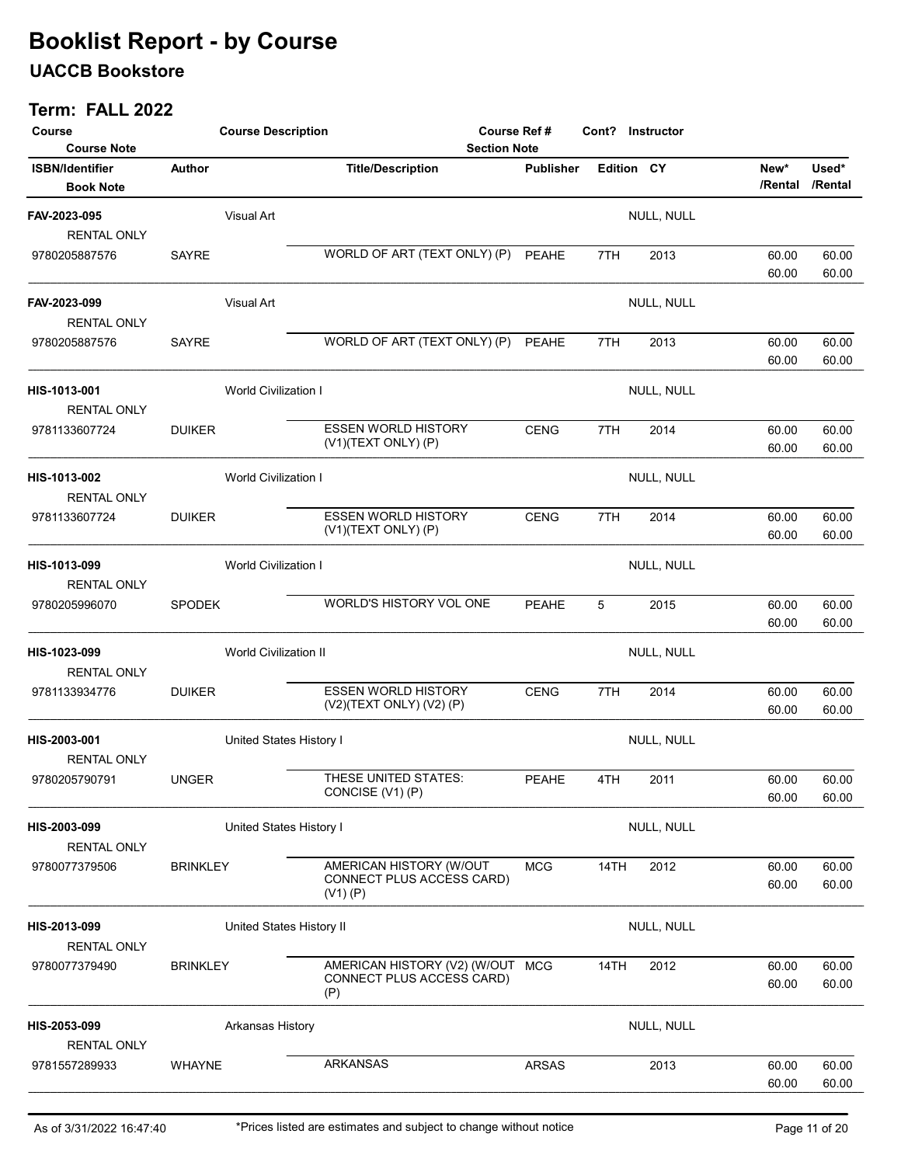### UACCB Bookstore

| Course<br><b>Course Note</b>               | <b>Course Description</b>    |                             |                                                                      | <b>Course Ref#</b><br>Cont? Instructor<br><b>Section Note</b> |            |            |                 |                  |
|--------------------------------------------|------------------------------|-----------------------------|----------------------------------------------------------------------|---------------------------------------------------------------|------------|------------|-----------------|------------------|
| <b>ISBN/Identifier</b><br><b>Book Note</b> | Author                       |                             | <b>Title/Description</b>                                             | <b>Publisher</b>                                              | Edition CY |            | New*<br>/Rental | Used*<br>/Rental |
| FAV-2023-095<br><b>RENTAL ONLY</b>         |                              | Visual Art                  |                                                                      |                                                               |            | NULL, NULL |                 |                  |
| 9780205887576                              | SAYRE                        |                             | WORLD OF ART (TEXT ONLY) (P)                                         | <b>PEAHE</b>                                                  | 7TH        | 2013       | 60.00<br>60.00  | 60.00<br>60.00   |
| FAV-2023-099<br><b>RENTAL ONLY</b>         |                              | Visual Art                  |                                                                      |                                                               |            | NULL, NULL |                 |                  |
| 9780205887576                              | SAYRE                        |                             | WORLD OF ART (TEXT ONLY) (P)                                         | PEAHE                                                         | 7TH        | 2013       | 60.00<br>60.00  | 60.00<br>60.00   |
| HIS-1013-001<br><b>RENTAL ONLY</b>         |                              | <b>World Civilization I</b> |                                                                      |                                                               |            | NULL, NULL |                 |                  |
| 9781133607724                              | <b>DUIKER</b>                |                             | <b>ESSEN WORLD HISTORY</b><br>(V1)(TEXT ONLY) (P)                    | <b>CENG</b>                                                   | 7TH        | 2014       | 60.00<br>60.00  | 60.00<br>60.00   |
| HIS-1013-002<br><b>RENTAL ONLY</b>         |                              | <b>World Civilization I</b> |                                                                      |                                                               |            | NULL, NULL |                 |                  |
| 9781133607724                              | <b>DUIKER</b>                |                             | <b>ESSEN WORLD HISTORY</b><br>(V1)(TEXT ONLY) (P)                    | <b>CENG</b>                                                   | 7TH        | 2014       | 60.00<br>60.00  | 60.00<br>60.00   |
| HIS-1013-099<br><b>RENTAL ONLY</b>         |                              | <b>World Civilization I</b> |                                                                      |                                                               |            | NULL, NULL |                 |                  |
| 9780205996070                              | <b>SPODEK</b>                |                             | WORLD'S HISTORY VOL ONE                                              | <b>PEAHE</b>                                                  | 5          | 2015       | 60.00<br>60.00  | 60.00<br>60.00   |
| HIS-1023-099<br><b>RENTAL ONLY</b>         | <b>World Civilization II</b> |                             |                                                                      |                                                               |            | NULL, NULL |                 |                  |
| 9781133934776                              | <b>DUIKER</b>                |                             | <b>ESSEN WORLD HISTORY</b><br>(V2)(TEXT ONLY) (V2) (P)               | <b>CENG</b>                                                   | 7TH        | 2014       | 60.00<br>60.00  | 60.00<br>60.00   |
| HIS-2003-001<br><b>RENTAL ONLY</b>         |                              | United States History I     |                                                                      |                                                               |            | NULL, NULL |                 |                  |
| 9780205790791                              | <b>UNGER</b>                 |                             | THESE UNITED STATES:<br>CONCISE (V1) (P)                             | <b>PEAHE</b>                                                  | 4TH        | 2011       | 60.00<br>60.00  | 60.00<br>60.00   |
| HIS-2003-099<br><b>RENTAL ONLY</b>         |                              | United States History I     |                                                                      |                                                               |            | NULL, NULL |                 |                  |
| 9780077379506                              | <b>BRINKLEY</b>              |                             | AMERICAN HISTORY (W/OUT<br>CONNECT PLUS ACCESS CARD)<br>(V1) (P)     | <b>MCG</b>                                                    | 14TH       | 2012       | 60.00<br>60.00  | 60.00<br>60.00   |
| HIS-2013-099<br><b>RENTAL ONLY</b>         |                              | United States History II    |                                                                      |                                                               |            | NULL, NULL |                 |                  |
| 9780077379490                              | <b>BRINKLEY</b>              |                             | AMERICAN HISTORY (V2) (W/OUT MCG<br>CONNECT PLUS ACCESS CARD)<br>(P) |                                                               | 14TH       | 2012       | 60.00<br>60.00  | 60.00<br>60.00   |
| HIS-2053-099<br><b>RENTAL ONLY</b>         |                              | Arkansas History            |                                                                      |                                                               |            | NULL, NULL |                 |                  |
| 9781557289933                              | <b>WHAYNE</b>                |                             | <b>ARKANSAS</b>                                                      | <b>ARSAS</b>                                                  |            | 2013       | 60.00<br>60.00  | 60.00<br>60.00   |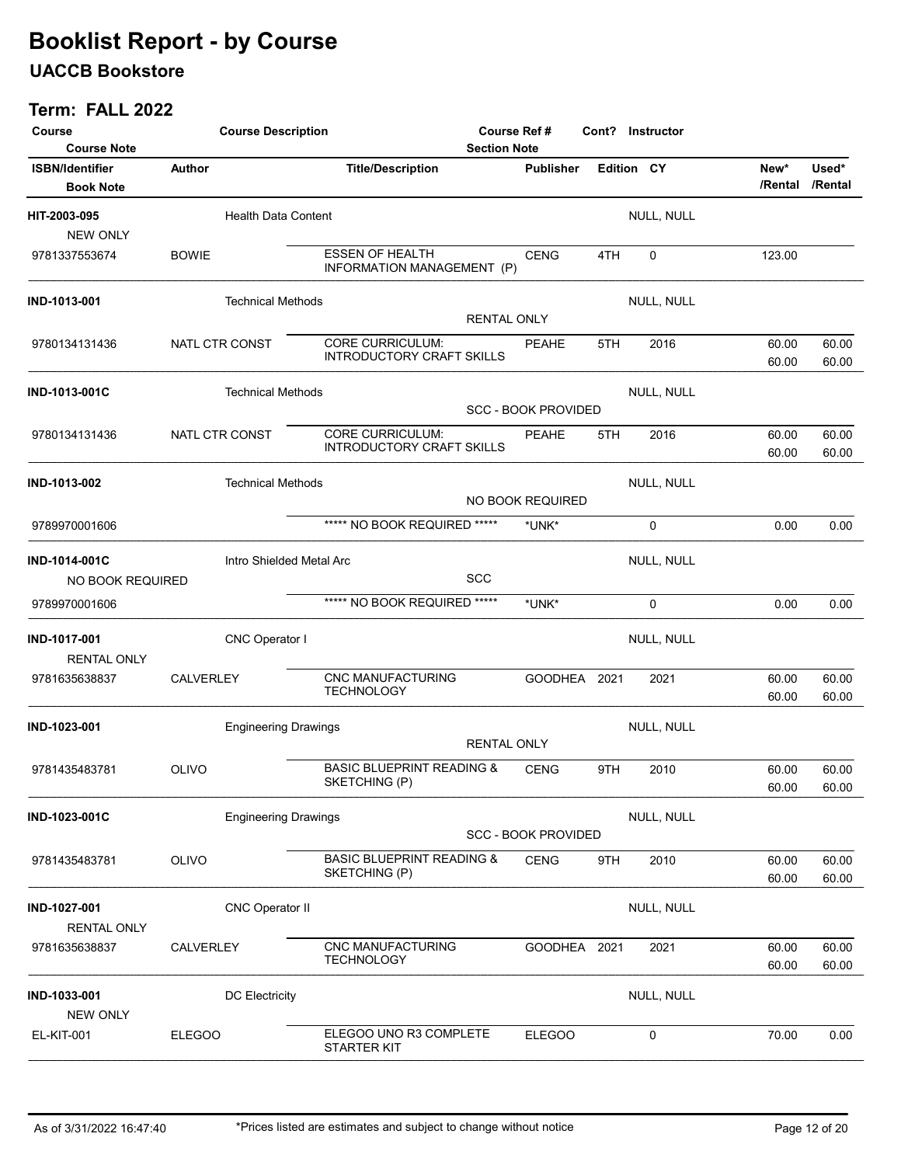### UACCB Bookstore

| Course<br><b>Course Note</b>               | <b>Course Description</b>   | <b>Course Ref#</b><br><b>Section Note</b>             |                            | Cont? Instructor |            |                 |                  |
|--------------------------------------------|-----------------------------|-------------------------------------------------------|----------------------------|------------------|------------|-----------------|------------------|
| <b>ISBN/Identifier</b><br><b>Book Note</b> | Author                      | <b>Title/Description</b>                              | <b>Publisher</b>           |                  | Edition CY | New*<br>/Rental | Used*<br>/Rental |
| HIT-2003-095<br><b>NEW ONLY</b>            | <b>Health Data Content</b>  |                                                       |                            |                  | NULL, NULL |                 |                  |
| 9781337553674                              | <b>BOWIE</b>                | <b>ESSEN OF HEALTH</b><br>INFORMATION MANAGEMENT (P)  | <b>CENG</b>                | 4TH              | 0          | 123.00          |                  |
| IND-1013-001                               | <b>Technical Methods</b>    |                                                       | <b>RENTAL ONLY</b>         |                  | NULL, NULL |                 |                  |
| 9780134131436                              | NATL CTR CONST              | CORE CURRICULUM:<br><b>INTRODUCTORY CRAFT SKILLS</b>  | <b>PEAHE</b>               | 5TH              | 2016       | 60.00<br>60.00  | 60.00<br>60.00   |
| <b>IND-1013-001C</b>                       | <b>Technical Methods</b>    |                                                       | <b>SCC - BOOK PROVIDED</b> |                  | NULL, NULL |                 |                  |
| 9780134131436                              | NATL CTR CONST              | <b>CORE CURRICULUM:</b><br>INTRODUCTORY CRAFT SKILLS  | <b>PEAHE</b>               | 5TH              | 2016       | 60.00<br>60.00  | 60.00<br>60.00   |
| IND-1013-002                               | <b>Technical Methods</b>    |                                                       | NO BOOK REQUIRED           |                  | NULL, NULL |                 |                  |
| 9789970001606                              |                             | ***** NO BOOK REQUIRED *****                          | *UNK*                      |                  | 0          | 0.00            | 0.00             |
| IND-1014-001C<br>NO BOOK REQUIRED          | Intro Shielded Metal Arc    |                                                       | <b>SCC</b>                 |                  | NULL, NULL |                 |                  |
| 9789970001606                              |                             | ***** NO BOOK REQUIRED *****                          | *UNK*                      |                  | 0          | 0.00            | 0.00             |
| IND-1017-001<br><b>RENTAL ONLY</b>         | CNC Operator I              |                                                       |                            |                  | NULL, NULL |                 |                  |
| 9781635638837                              | <b>CALVERLEY</b>            | CNC MANUFACTURING<br><b>TECHNOLOGY</b>                |                            | GOODHEA 2021     | 2021       | 60.00<br>60.00  | 60.00<br>60.00   |
| IND-1023-001                               | <b>Engineering Drawings</b> |                                                       | <b>RENTAL ONLY</b>         |                  | NULL, NULL |                 |                  |
| 9781435483781                              | OLIVO                       | <b>BASIC BLUEPRINT READING &amp;</b><br>SKETCHING (P) | <b>CENG</b>                | 9TH              | 2010       | 60.00<br>60.00  | 60.00<br>60.00   |
| IND-1023-001C                              | <b>Engineering Drawings</b> |                                                       | <b>SCC - BOOK PROVIDED</b> |                  | NULL, NULL |                 |                  |
| 9781435483781                              | OLIVO                       | <b>BASIC BLUEPRINT READING &amp;</b><br>SKETCHING (P) | <b>CENG</b>                | 9TH              | 2010       | 60.00<br>60.00  | 60.00<br>60.00   |
| IND-1027-001<br><b>RENTAL ONLY</b>         | <b>CNC Operator II</b>      |                                                       |                            |                  | NULL, NULL |                 |                  |
| 9781635638837                              | CALVERLEY                   | <b>CNC MANUFACTURING</b><br><b>TECHNOLOGY</b>         |                            | GOODHEA 2021     | 2021       | 60.00<br>60.00  | 60.00<br>60.00   |
| IND-1033-001<br><b>NEW ONLY</b>            | <b>DC Electricity</b>       |                                                       |                            |                  | NULL, NULL |                 |                  |
| <b>EL-KIT-001</b>                          | <b>ELEGOO</b>               | ELEGOO UNO R3 COMPLETE<br><b>STARTER KIT</b>          | <b>ELEGOO</b>              |                  | 0          | 70.00           | 0.00             |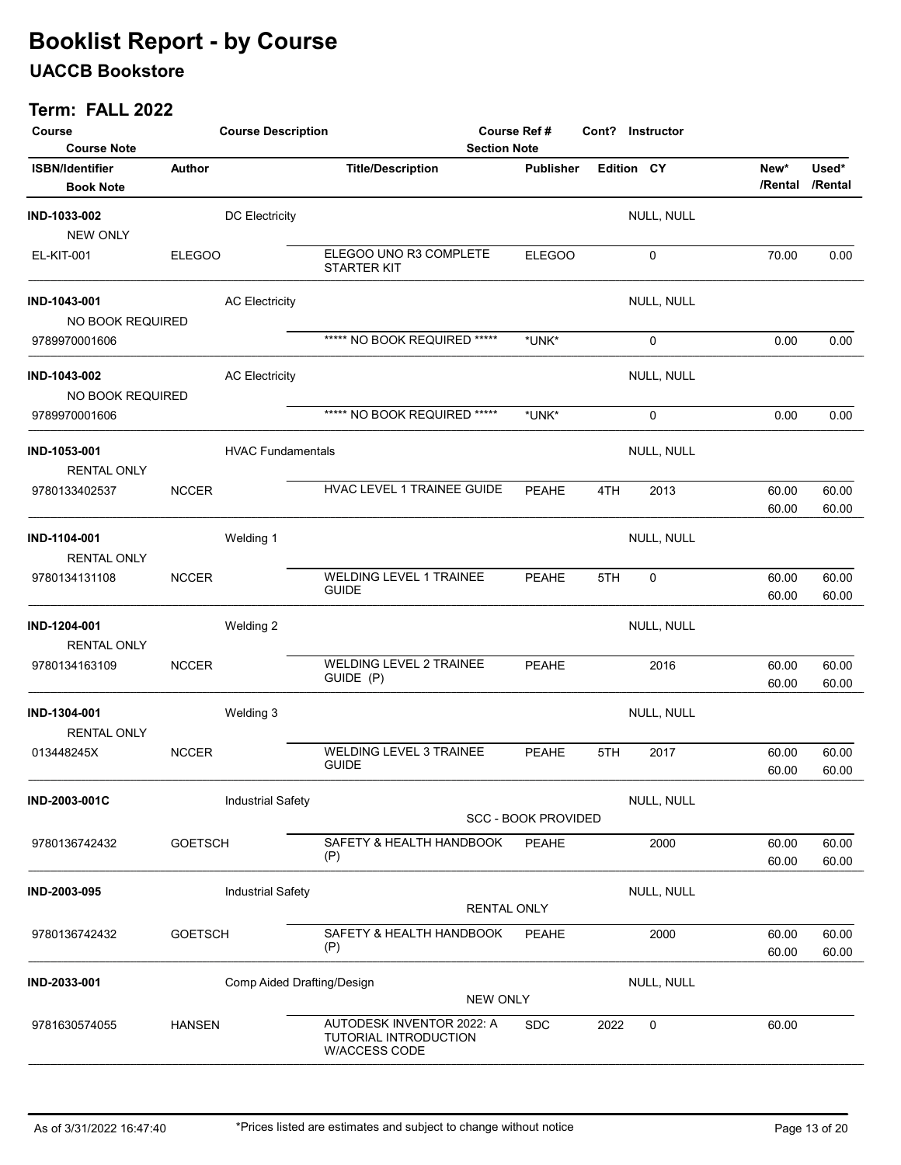### UACCB Bookstore

| Course<br><b>Course Note</b>               |                | <b>Course Description</b><br><b>Section Note</b> |                                                                     |                    | Course Ref #               |            | Cont? Instructor |                 |                  |
|--------------------------------------------|----------------|--------------------------------------------------|---------------------------------------------------------------------|--------------------|----------------------------|------------|------------------|-----------------|------------------|
| <b>ISBN/Identifier</b><br><b>Book Note</b> | Author         |                                                  | <b>Title/Description</b>                                            |                    | <b>Publisher</b>           | Edition CY |                  | New*<br>/Rental | Used*<br>/Rental |
| IND-1033-002<br><b>NEW ONLY</b>            |                | <b>DC Electricity</b>                            |                                                                     |                    |                            |            | NULL, NULL       |                 |                  |
| EL-KIT-001                                 | <b>ELEGOO</b>  |                                                  | ELEGOO UNO R3 COMPLETE<br><b>STARTER KIT</b>                        |                    | <b>ELEGOO</b>              |            | 0                | 70.00           | 0.00             |
| IND-1043-001<br>NO BOOK REQUIRED           |                | <b>AC Electricity</b>                            |                                                                     |                    |                            |            | NULL, NULL       |                 |                  |
| 9789970001606                              |                |                                                  | ***** NO BOOK REQUIRED *****                                        |                    | *UNK*                      |            | $\mathbf 0$      | 0.00            | 0.00             |
| IND-1043-002<br>NO BOOK REQUIRED           |                | <b>AC Electricity</b>                            |                                                                     |                    |                            |            | NULL, NULL       |                 |                  |
| 9789970001606                              |                |                                                  | ***** NO BOOK REQUIRED *****                                        |                    | *UNK*                      |            | 0                | 0.00            | 0.00             |
| IND-1053-001<br><b>RENTAL ONLY</b>         |                | <b>HVAC Fundamentals</b>                         |                                                                     |                    |                            |            | NULL, NULL       |                 |                  |
| 9780133402537                              | <b>NCCER</b>   |                                                  | HVAC LEVEL 1 TRAINEE GUIDE                                          |                    | <b>PEAHE</b>               | 4TH        | 2013             | 60.00<br>60.00  | 60.00<br>60.00   |
| IND-1104-001<br><b>RENTAL ONLY</b>         |                | Welding 1                                        |                                                                     |                    |                            |            | NULL, NULL       |                 |                  |
| 9780134131108                              | <b>NCCER</b>   |                                                  | WELDING LEVEL 1 TRAINEE<br><b>GUIDE</b>                             |                    | <b>PEAHE</b>               | 5TH        | $\mathbf 0$      | 60.00<br>60.00  | 60.00<br>60.00   |
| IND-1204-001<br><b>RENTAL ONLY</b>         |                | Welding 2                                        |                                                                     |                    |                            |            | NULL, NULL       |                 |                  |
| 9780134163109                              | <b>NCCER</b>   |                                                  | <b>WELDING LEVEL 2 TRAINEE</b><br>GUIDE (P)                         |                    | <b>PEAHE</b>               |            | 2016             | 60.00<br>60.00  | 60.00<br>60.00   |
| IND-1304-001<br><b>RENTAL ONLY</b>         |                | Welding 3                                        |                                                                     |                    |                            |            | NULL, NULL       |                 |                  |
| 013448245X                                 | <b>NCCER</b>   |                                                  | <b>WELDING LEVEL 3 TRAINEE</b><br><b>GUIDE</b>                      |                    | <b>PEAHE</b>               | 5TH        | 2017             | 60.00<br>60.00  | 60.00<br>60.00   |
| IND-2003-001C                              |                | <b>Industrial Safety</b>                         |                                                                     |                    | <b>SCC - BOOK PROVIDED</b> |            | NULL, NULL       |                 |                  |
| 9780136742432                              | <b>GOETSCH</b> |                                                  | SAFETY & HEALTH HANDBOOK<br>(P)                                     |                    | PEAHE                      |            | 2000             | 60.00<br>60.00  | 60.00<br>60.00   |
| IND-2003-095                               |                | <b>Industrial Safety</b>                         |                                                                     | <b>RENTAL ONLY</b> |                            |            | NULL, NULL       |                 |                  |
| 9780136742432                              | <b>GOETSCH</b> |                                                  | SAFETY & HEALTH HANDBOOK<br>(P)                                     |                    | PEAHE                      |            | 2000             | 60.00<br>60.00  | 60.00<br>60.00   |
| IND-2033-001                               |                | Comp Aided Drafting/Design                       |                                                                     | <b>NEW ONLY</b>    |                            |            | NULL, NULL       |                 |                  |
| 9781630574055                              | <b>HANSEN</b>  |                                                  | AUTODESK INVENTOR 2022: A<br>TUTORIAL INTRODUCTION<br>W/ACCESS CODE |                    | <b>SDC</b>                 | 2022       | 0                | 60.00           |                  |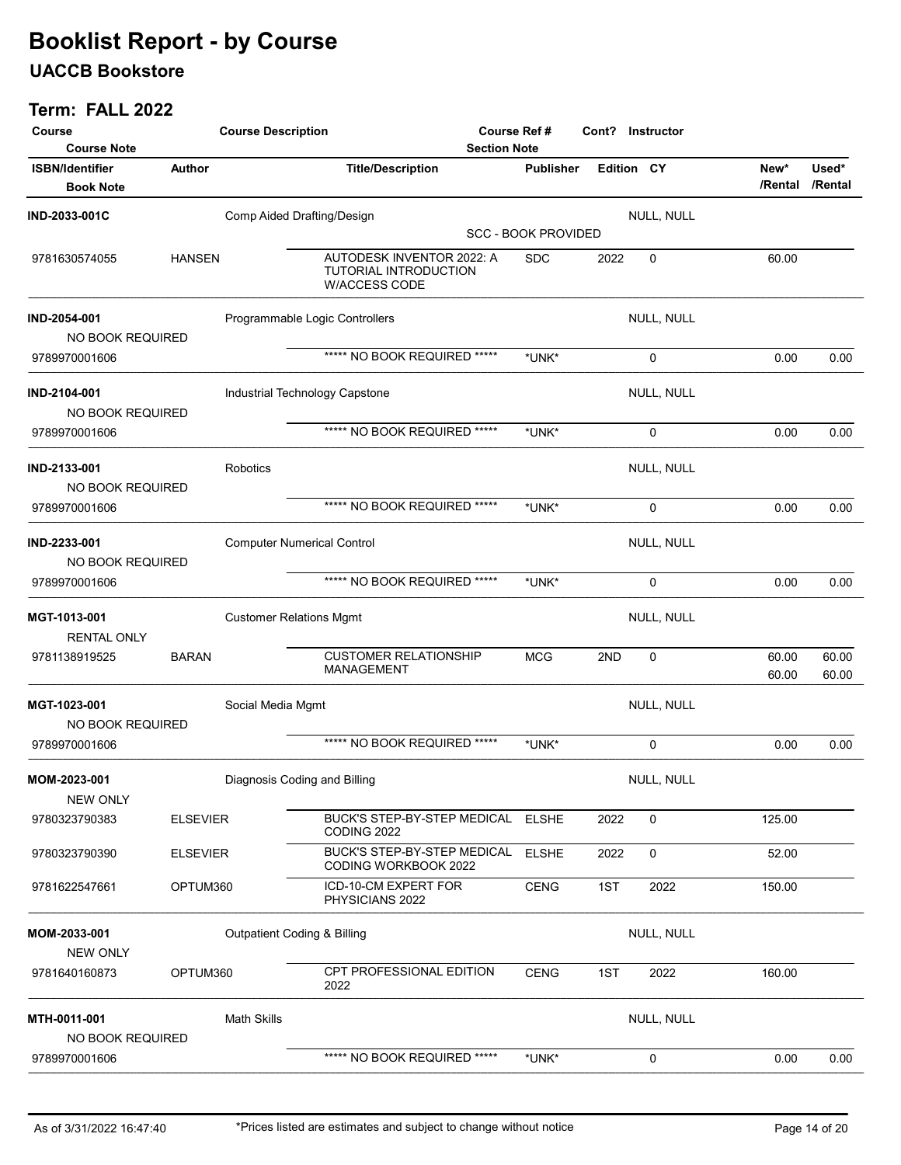### UACCB Bookstore

| Course<br><b>Course Note</b>               |                 | <b>Course Description</b> |                                                                            | <b>Course Ref#</b><br><b>Section Note</b> |                            | Cont?             | Instructor        |                 |                  |
|--------------------------------------------|-----------------|---------------------------|----------------------------------------------------------------------------|-------------------------------------------|----------------------------|-------------------|-------------------|-----------------|------------------|
| <b>ISBN/Identifier</b><br><b>Book Note</b> | Author          |                           | <b>Title/Description</b>                                                   |                                           | <b>Publisher</b>           | <b>Edition CY</b> |                   | New*<br>/Rental | Used*<br>/Rental |
| IND-2033-001C                              |                 |                           | Comp Aided Drafting/Design                                                 |                                           |                            |                   | <b>NULL, NULL</b> |                 |                  |
|                                            |                 |                           |                                                                            |                                           | <b>SCC - BOOK PROVIDED</b> |                   |                   |                 |                  |
| 9781630574055                              | <b>HANSEN</b>   |                           | AUTODESK INVENTOR 2022: A<br>TUTORIAL INTRODUCTION<br><b>W/ACCESS CODE</b> |                                           | <b>SDC</b>                 | 2022              | 0                 | 60.00           |                  |
| IND-2054-001<br>NO BOOK REQUIRED           |                 |                           | Programmable Logic Controllers                                             |                                           |                            |                   | NULL, NULL        |                 |                  |
| 9789970001606                              |                 |                           | ***** NO BOOK REQUIRED *****                                               |                                           | *UNK*                      |                   | 0                 | 0.00            | 0.00             |
| IND-2104-001<br>NO BOOK REQUIRED           |                 |                           | Industrial Technology Capstone                                             |                                           |                            |                   | NULL, NULL        |                 |                  |
| 9789970001606                              |                 |                           | ***** NO BOOK REQUIRED *****                                               |                                           | *UNK*                      |                   | 0                 | 0.00            | 0.00             |
| IND-2133-001<br>NO BOOK REQUIRED           |                 | Robotics                  |                                                                            |                                           |                            |                   | NULL, NULL        |                 |                  |
| 9789970001606                              |                 |                           | ***** NO BOOK REQUIRED *****                                               |                                           | *UNK*                      |                   | 0                 | 0.00            | 0.00             |
| IND-2233-001<br>NO BOOK REQUIRED           |                 |                           | <b>Computer Numerical Control</b>                                          |                                           |                            |                   | NULL, NULL        |                 |                  |
| 9789970001606                              |                 |                           | ***** NO BOOK REQUIRED *****                                               |                                           | *UNK*                      |                   | 0                 | 0.00            | 0.00             |
| MGT-1013-001<br><b>RENTAL ONLY</b>         |                 |                           | <b>Customer Relations Mgmt</b>                                             |                                           |                            |                   | NULL, NULL        |                 |                  |
| 9781138919525                              | <b>BARAN</b>    |                           | <b>CUSTOMER RELATIONSHIP</b><br>MANAGEMENT                                 |                                           | <b>MCG</b>                 | 2ND               | 0                 | 60.00<br>60.00  | 60.00<br>60.00   |
| MGT-1023-001<br>NO BOOK REQUIRED           |                 | Social Media Mgmt         |                                                                            |                                           |                            |                   | NULL, NULL        |                 |                  |
| 9789970001606                              |                 |                           | ***** NO BOOK REQUIRED *****                                               |                                           | *UNK*                      |                   | 0                 | 0.00            | 0.00             |
| MOM-2023-001<br><b>NEW ONLY</b>            |                 |                           | Diagnosis Coding and Billing                                               |                                           |                            |                   | NULL, NULL        |                 |                  |
| 9780323790383                              | <b>ELSEVIER</b> |                           | BUCK'S STEP-BY-STEP MEDICAL ELSHE<br>CODING 2022                           |                                           |                            | 2022              | 0                 | 125.00          |                  |
| 9780323790390                              | <b>ELSEVIER</b> |                           | <b>BUCK'S STEP-BY-STEP MEDICAL</b><br>CODING WORKBOOK 2022                 |                                           | <b>ELSHE</b>               | 2022              | 0                 | 52.00           |                  |
| 9781622547661                              | OPTUM360        |                           | ICD-10-CM EXPERT FOR<br>PHYSICIANS 2022                                    |                                           | <b>CENG</b>                | 1ST               | 2022              | 150.00          |                  |
| MOM-2033-001<br><b>NEW ONLY</b>            |                 |                           | <b>Outpatient Coding &amp; Billing</b>                                     |                                           |                            |                   | NULL, NULL        |                 |                  |
| 9781640160873                              | OPTUM360        |                           | CPT PROFESSIONAL EDITION<br>2022                                           |                                           | <b>CENG</b>                | 1ST               | 2022              | 160.00          |                  |
| MTH-0011-001<br>NO BOOK REQUIRED           |                 | <b>Math Skills</b>        |                                                                            |                                           |                            |                   | NULL, NULL        |                 |                  |
| 9789970001606                              |                 |                           | ***** NO BOOK REQUIRED *****                                               |                                           | *UNK*                      |                   | 0                 | 0.00            | 0.00             |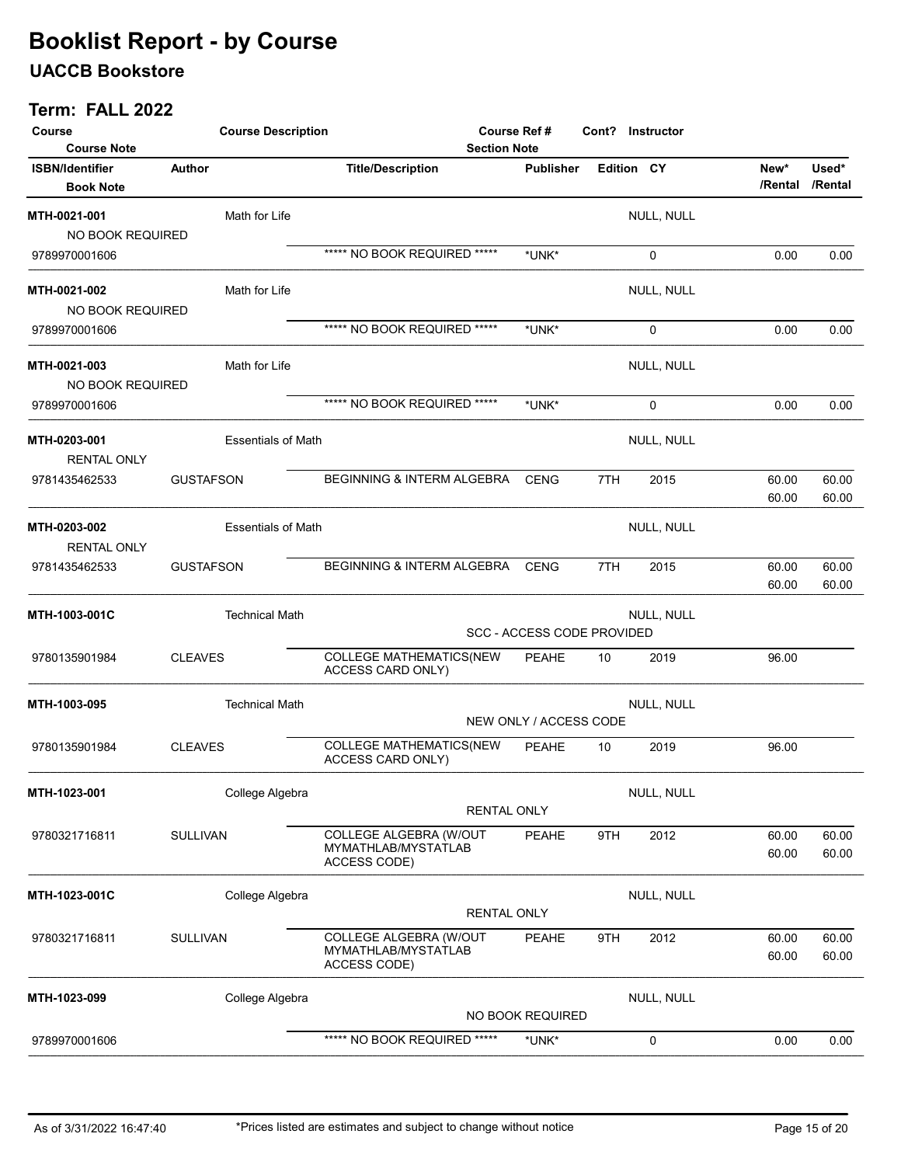### UACCB Bookstore

| Course<br><b>Course Note</b>               | <b>Course Description</b> | <b>Section Note</b>                                           | Course Ref #                      |                   | Cont? Instructor |                 |                  |
|--------------------------------------------|---------------------------|---------------------------------------------------------------|-----------------------------------|-------------------|------------------|-----------------|------------------|
| <b>ISBN/Identifier</b><br><b>Book Note</b> | Author                    | <b>Title/Description</b>                                      | <b>Publisher</b>                  | <b>Edition CY</b> |                  | New*<br>/Rental | Used*<br>/Rental |
| MTH-0021-001<br>NO BOOK REQUIRED           | Math for Life             |                                                               |                                   |                   | NULL, NULL       |                 |                  |
| 9789970001606                              |                           | ***** NO BOOK REQUIRED *****                                  | *UNK*                             |                   | 0                | 0.00            | 0.00             |
| MTH-0021-002<br>NO BOOK REQUIRED           | Math for Life             |                                                               |                                   |                   | NULL, NULL       |                 |                  |
| 9789970001606                              |                           | ***** NO BOOK REQUIRED *****                                  | *UNK*                             |                   | 0                | 0.00            | 0.00             |
| MTH-0021-003<br>NO BOOK REQUIRED           | Math for Life             |                                                               |                                   |                   | NULL, NULL       |                 |                  |
| 9789970001606                              |                           | ***** NO BOOK REQUIRED *****                                  | *UNK*                             |                   | 0                | 0.00            | 0.00             |
| MTH-0203-001<br><b>RENTAL ONLY</b>         | <b>Essentials of Math</b> |                                                               |                                   |                   | NULL, NULL       |                 |                  |
| 9781435462533                              | <b>GUSTAFSON</b>          | <b>BEGINNING &amp; INTERM ALGEBRA</b>                         | <b>CENG</b>                       | 7TH               | 2015             | 60.00<br>60.00  | 60.00<br>60.00   |
| MTH-0203-002<br><b>RENTAL ONLY</b>         | <b>Essentials of Math</b> |                                                               |                                   |                   | NULL, NULL       |                 |                  |
| 9781435462533                              | <b>GUSTAFSON</b>          | BEGINNING & INTERM ALGEBRA                                    | <b>CENG</b>                       | 7TH               | 2015             | 60.00<br>60.00  | 60.00<br>60.00   |
| MTH-1003-001C                              | <b>Technical Math</b>     |                                                               | <b>SCC - ACCESS CODE PROVIDED</b> |                   | NULL, NULL       |                 |                  |
| 9780135901984                              | <b>CLEAVES</b>            | <b>COLLEGE MATHEMATICS(NEW</b><br>ACCESS CARD ONLY)           | <b>PEAHE</b>                      | 10                | 2019             | 96.00           |                  |
| MTH-1003-095                               | <b>Technical Math</b>     |                                                               | NEW ONLY / ACCESS CODE            |                   | NULL, NULL       |                 |                  |
| 9780135901984                              | <b>CLEAVES</b>            | <b>COLLEGE MATHEMATICS(NEW</b><br>ACCESS CARD ONLY)           | <b>PEAHE</b>                      | 10                | 2019             | 96.00           |                  |
| MTH-1023-001                               | College Algebra           | <b>RENTAL ONLY</b>                                            |                                   |                   | NULL, NULL       |                 |                  |
| 9780321716811                              | SULLIVAN                  | COLLEGE ALGEBRA (W/OUT<br>MYMATHLAB/MYSTATLAB<br>ACCESS CODE) | <b>PEAHE</b>                      | 9TH               | 2012             | 60.00<br>60.00  | 60.00<br>60.00   |
| MTH-1023-001C                              | College Algebra           | <b>RENTAL ONLY</b>                                            |                                   |                   | NULL, NULL       |                 |                  |
| 9780321716811                              | <b>SULLIVAN</b>           | COLLEGE ALGEBRA (W/OUT<br>MYMATHLAB/MYSTATLAB<br>ACCESS CODE) | <b>PEAHE</b>                      | 9TH               | 2012             | 60.00<br>60.00  | 60.00<br>60.00   |
| MTH-1023-099                               | College Algebra           |                                                               | NO BOOK REQUIRED                  |                   | NULL, NULL       |                 |                  |
| 9789970001606                              |                           | ***** NO BOOK REQUIRED *****                                  | *UNK*                             |                   | 0                | 0.00            | 0.00             |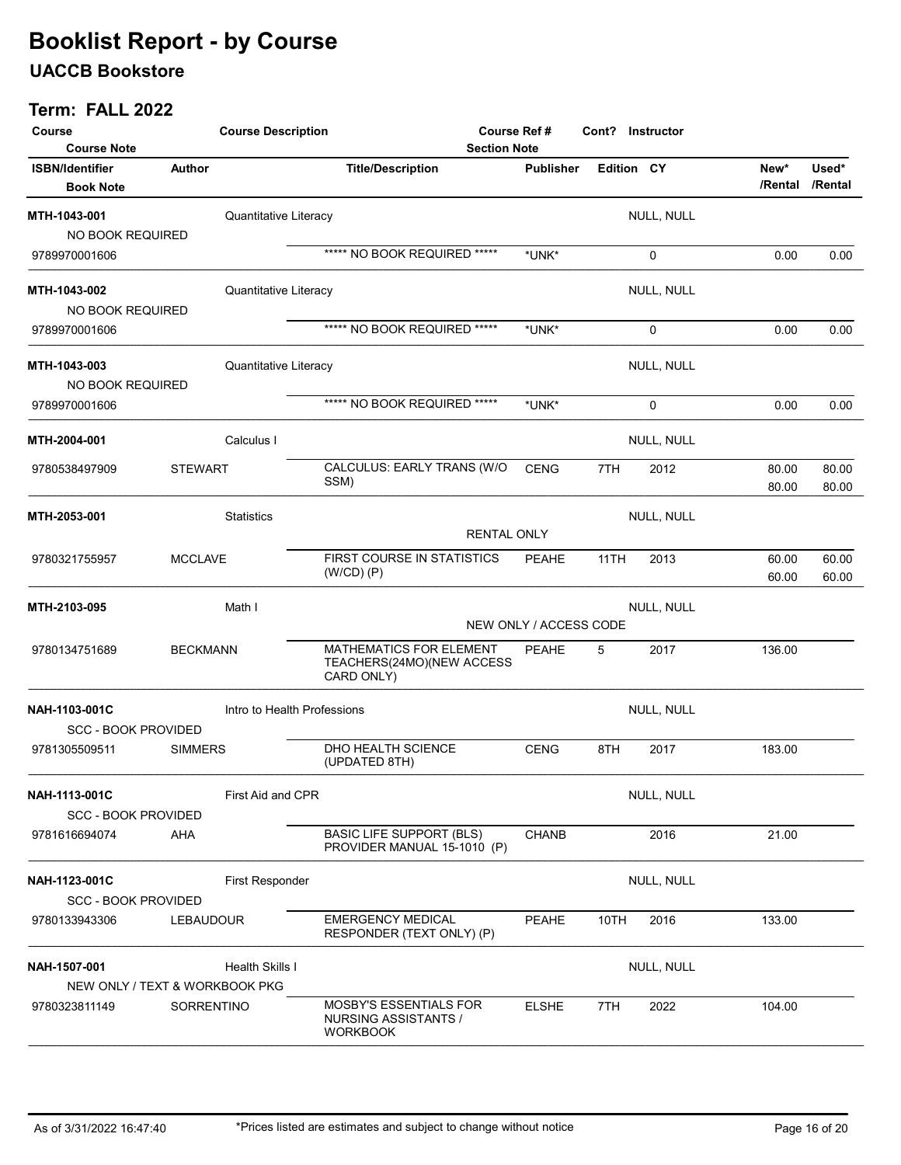### UACCB Bookstore

| Course<br><b>Course Note</b>                | <b>Course Description</b>                                | <b>Section Note</b>                                                      | Course Ref #     | Cont? Instructor |            |                 |                  |
|---------------------------------------------|----------------------------------------------------------|--------------------------------------------------------------------------|------------------|------------------|------------|-----------------|------------------|
| <b>ISBN/Identifier</b><br><b>Book Note</b>  | Author                                                   | <b>Title/Description</b>                                                 | <b>Publisher</b> | Edition CY       |            | New*<br>/Rental | Used*<br>/Rental |
| MTH-1043-001<br>NO BOOK REQUIRED            | Quantitative Literacy                                    |                                                                          |                  |                  | NULL, NULL |                 |                  |
| 9789970001606                               |                                                          | ***** NO BOOK REQUIRED *****                                             | *UNK*            |                  | 0          | 0.00            | 0.00             |
| MTH-1043-002<br>NO BOOK REQUIRED            | Quantitative Literacy                                    |                                                                          |                  |                  | NULL, NULL |                 |                  |
| 9789970001606                               |                                                          | ***** NO BOOK REQUIRED *****                                             | *UNK*            |                  | 0          | 0.00            | 0.00             |
| MTH-1043-003<br>NO BOOK REQUIRED            | Quantitative Literacy                                    |                                                                          |                  |                  | NULL, NULL |                 |                  |
| 9789970001606                               |                                                          | ***** NO BOOK REQUIRED *****                                             | *UNK*            |                  | 0          | 0.00            | 0.00             |
| MTH-2004-001                                | Calculus I                                               |                                                                          |                  |                  | NULL, NULL |                 |                  |
| 9780538497909                               | <b>STEWART</b>                                           | CALCULUS: EARLY TRANS (W/O<br>SSM)                                       | <b>CENG</b>      | 7TH              | 2012       | 80.00<br>80.00  | 80.00<br>80.00   |
| MTH-2053-001                                | <b>Statistics</b>                                        | <b>RENTAL ONLY</b>                                                       |                  |                  | NULL, NULL |                 |                  |
| 9780321755957                               | <b>MCCLAVE</b>                                           | FIRST COURSE IN STATISTICS<br>$(W/CD)$ $(P)$                             | <b>PEAHE</b>     | 11TH             | 2013       | 60.00<br>60.00  | 60.00<br>60.00   |
| MTH-2103-095                                | Math I                                                   | NEW ONLY / ACCESS CODE                                                   |                  |                  |            |                 |                  |
| 9780134751689                               | <b>BECKMANN</b>                                          | MATHEMATICS FOR ELEMENT<br>TEACHERS(24MO)(NEW ACCESS<br>CARD ONLY)       | PEAHE            | 5                | 2017       | 136.00          |                  |
| NAH-1103-001C                               | Intro to Health Professions                              |                                                                          |                  |                  | NULL, NULL |                 |                  |
| <b>SCC - BOOK PROVIDED</b><br>9781305509511 | <b>SIMMERS</b>                                           | DHO HEALTH SCIENCE<br>(UPDATED 8TH)                                      | <b>CENG</b>      | 8TH              | 2017       | 183.00          |                  |
| NAH-1113-001C<br><b>SCC - BOOK PROVIDED</b> | First Aid and CPR                                        |                                                                          |                  |                  | NULL, NULL |                 |                  |
| 9781616694074                               | AHA                                                      | <b>BASIC LIFE SUPPORT (BLS)</b><br>PROVIDER MANUAL 15-1010 (P)           | <b>CHANB</b>     |                  | 2016       | 21.00           |                  |
| NAH-1123-001C<br><b>SCC - BOOK PROVIDED</b> | <b>First Responder</b>                                   |                                                                          |                  |                  | NULL, NULL |                 |                  |
| 9780133943306                               | <b>LEBAUDOUR</b>                                         | <b>EMERGENCY MEDICAL</b><br>RESPONDER (TEXT ONLY) (P)                    | <b>PEAHE</b>     | 10TH             | 2016       | 133.00          |                  |
| NAH-1507-001                                | <b>Health Skills I</b><br>NEW ONLY / TEXT & WORKBOOK PKG |                                                                          |                  |                  | NULL, NULL |                 |                  |
| 9780323811149                               | SORRENTINO                                               | <b>MOSBY'S ESSENTIALS FOR</b><br>NURSING ASSISTANTS /<br><b>WORKBOOK</b> | <b>ELSHE</b>     | 7TH              | 2022       | 104.00          |                  |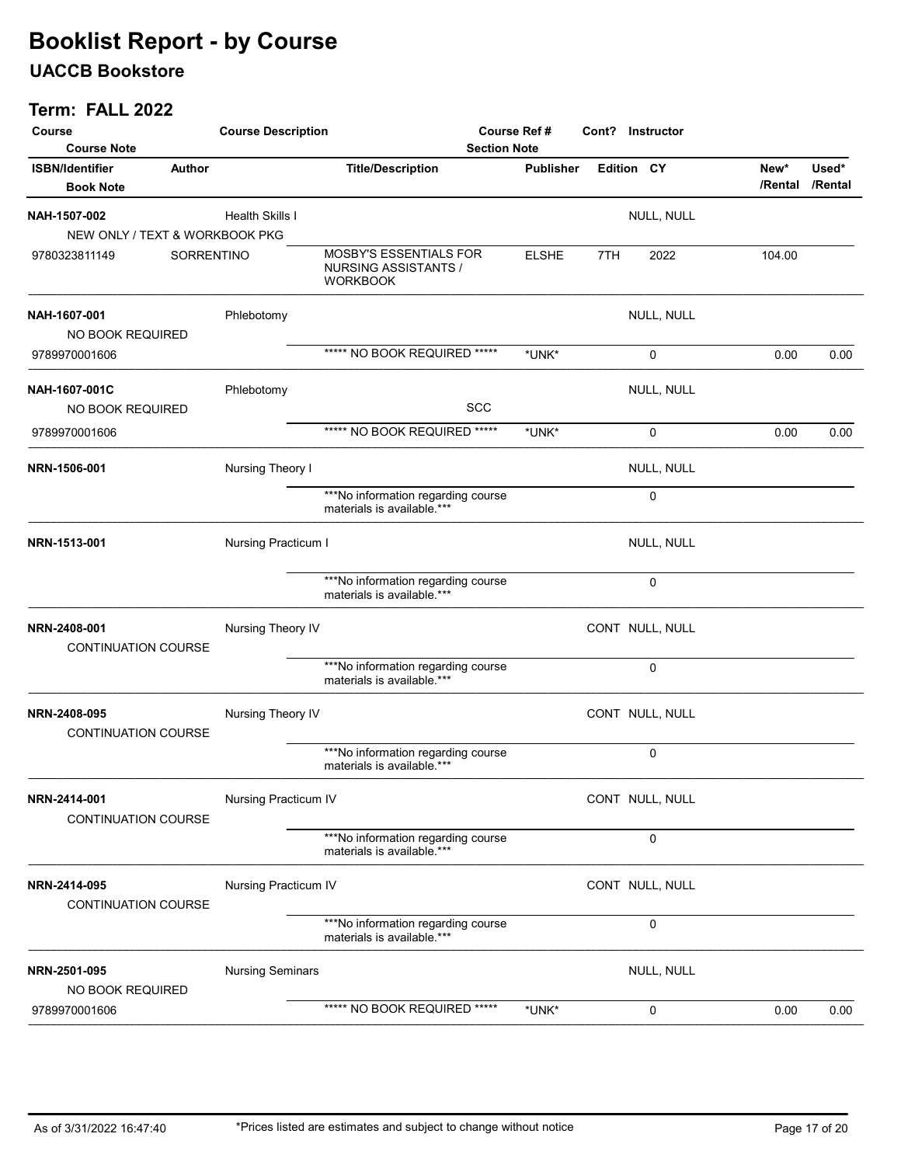### UACCB Bookstore

| Course<br><b>Course Note</b>               | <b>Course Description</b> | <b>Section Note</b>                                               | Course Ref #     |     | Cont? Instructor |                 |                  |
|--------------------------------------------|---------------------------|-------------------------------------------------------------------|------------------|-----|------------------|-----------------|------------------|
| <b>ISBN/Identifier</b><br><b>Book Note</b> | Author                    | <b>Title/Description</b>                                          | <b>Publisher</b> |     | Edition CY       | New*<br>/Rental | Used*<br>/Rental |
| NAH-1507-002                               | Health Skills I           |                                                                   |                  |     | NULL, NULL       |                 |                  |
| NEW ONLY / TEXT & WORKBOOK PKG             |                           |                                                                   |                  |     |                  |                 |                  |
| 9780323811149                              | SORRENTINO                | MOSBY'S ESSENTIALS FOR<br>NURSING ASSISTANTS /<br><b>WORKBOOK</b> | <b>ELSHE</b>     | 7TH | 2022             | 104.00          |                  |
| NAH-1607-001                               | Phlebotomy                |                                                                   |                  |     | NULL, NULL       |                 |                  |
| NO BOOK REQUIRED                           |                           |                                                                   |                  |     |                  |                 |                  |
| 9789970001606                              |                           | ***** NO BOOK REQUIRED *****                                      | *UNK*            |     | $\mathbf 0$      | 0.00            | 0.00             |
| NAH-1607-001C<br>NO BOOK REQUIRED          | Phlebotomy                | SCC                                                               |                  |     | NULL, NULL       |                 |                  |
| 9789970001606                              |                           | ***** NO BOOK REQUIRED *****                                      | *UNK*            |     | 0                | 0.00            | 0.00             |
| NRN-1506-001                               | Nursing Theory I          |                                                                   |                  |     | NULL, NULL       |                 |                  |
|                                            |                           | ***No information regarding course<br>materials is available.***  |                  |     | 0                |                 |                  |
| NRN-1513-001                               | Nursing Practicum I       |                                                                   |                  |     | NULL, NULL       |                 |                  |
|                                            |                           | ***No information regarding course<br>materials is available.***  |                  |     | $\mathbf 0$      |                 |                  |
| NRN-2408-001<br><b>CONTINUATION COURSE</b> | Nursing Theory IV         |                                                                   |                  |     | CONT NULL, NULL  |                 |                  |
|                                            |                           | ***No information regarding course<br>materials is available.***  |                  |     | 0                |                 |                  |
| NRN-2408-095<br><b>CONTINUATION COURSE</b> | Nursing Theory IV         |                                                                   |                  |     | CONT NULL, NULL  |                 |                  |
|                                            |                           | ***No information regarding course<br>materials is available.***  |                  |     | 0                |                 |                  |
| NRN-2414-001<br>CONTINUATION COURSE        | Nursing Practicum IV      |                                                                   |                  |     | CONT NULL, NULL  |                 |                  |
|                                            |                           | ***No information regarding course<br>materials is available.***  |                  |     | 0                |                 |                  |
| NRN-2414-095<br><b>CONTINUATION COURSE</b> | Nursing Practicum IV      |                                                                   |                  |     | CONT NULL, NULL  |                 |                  |
|                                            |                           | ***No information regarding course<br>materials is available.***  |                  |     | 0                |                 |                  |
| NRN-2501-095<br><b>NO BOOK REQUIRED</b>    | <b>Nursing Seminars</b>   |                                                                   |                  |     | NULL, NULL       |                 |                  |
| 9789970001606                              |                           | ***** NO BOOK REQUIRED *****                                      | *UNK*            |     | 0                | 0.00            | 0.00             |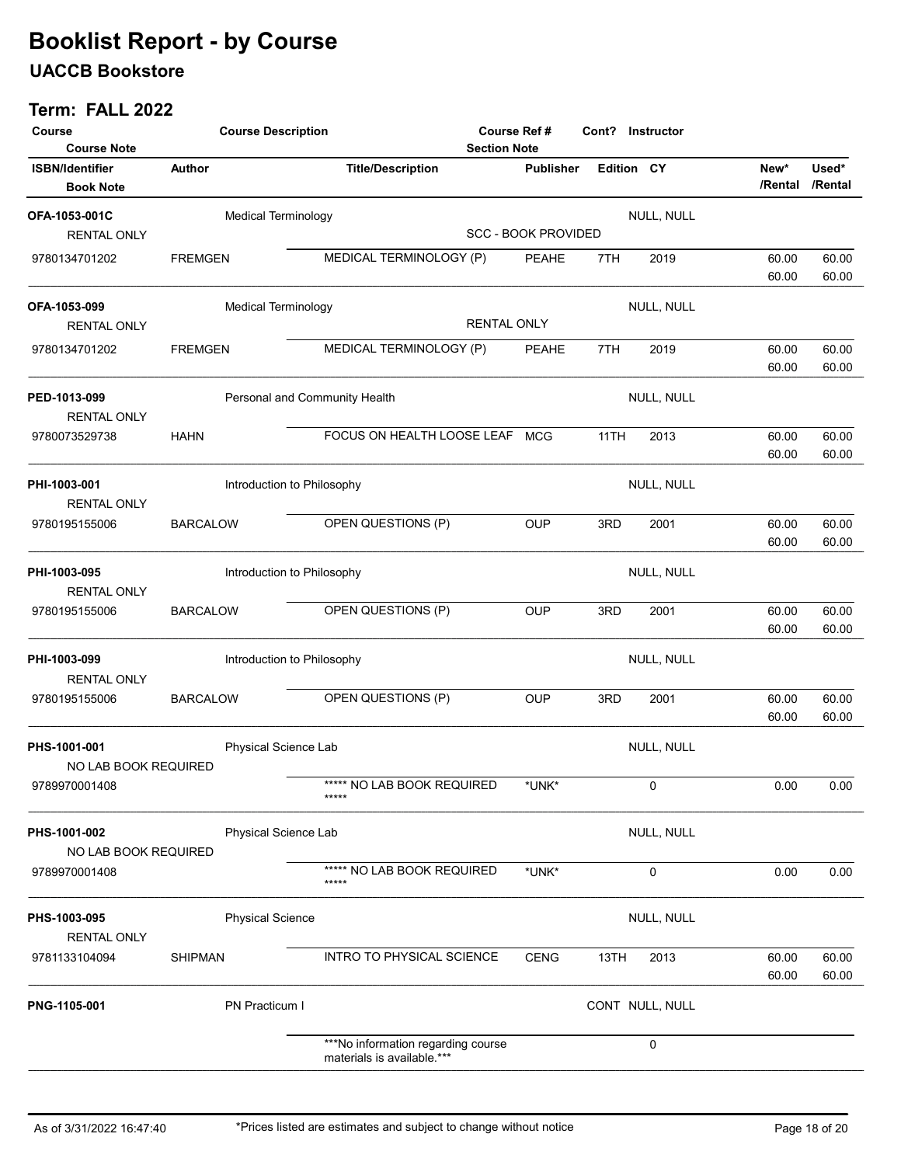### UACCB Bookstore

| Course<br><b>Course Note</b>               | <b>Course Description</b> |                               |                                                                  | Course Ref #<br><b>Section Note</b> |                            |            | Cont? Instructor |                 |                  |
|--------------------------------------------|---------------------------|-------------------------------|------------------------------------------------------------------|-------------------------------------|----------------------------|------------|------------------|-----------------|------------------|
| <b>ISBN/Identifier</b><br><b>Book Note</b> | Author                    |                               | <b>Title/Description</b>                                         |                                     | <b>Publisher</b>           | Edition CY |                  | New*<br>/Rental | Used*<br>/Rental |
| OFA-1053-001C<br><b>RENTAL ONLY</b>        |                           | <b>Medical Terminology</b>    |                                                                  |                                     | <b>SCC - BOOK PROVIDED</b> |            | NULL, NULL       |                 |                  |
| 9780134701202                              | <b>FREMGEN</b>            |                               | MEDICAL TERMINOLOGY (P)                                          |                                     | <b>PEAHE</b>               | 7TH        | 2019             | 60.00<br>60.00  | 60.00<br>60.00   |
| OFA-1053-099<br><b>RENTAL ONLY</b>         |                           | <b>Medical Terminology</b>    |                                                                  | <b>RENTAL ONLY</b>                  |                            |            | NULL, NULL       |                 |                  |
| 9780134701202                              | <b>FREMGEN</b>            |                               | MEDICAL TERMINOLOGY (P)                                          |                                     | <b>PEAHE</b>               | 7TH        | 2019             | 60.00<br>60.00  | 60.00<br>60.00   |
| PED-1013-099<br><b>RENTAL ONLY</b>         |                           | Personal and Community Health |                                                                  |                                     |                            |            | NULL, NULL       |                 |                  |
| 9780073529738                              | <b>HAHN</b>               |                               | FOCUS ON HEALTH LOOSE LEAF                                       |                                     | <b>MCG</b>                 | 11TH       | 2013             | 60.00<br>60.00  | 60.00<br>60.00   |
| PHI-1003-001<br><b>RENTAL ONLY</b>         |                           | Introduction to Philosophy    |                                                                  |                                     |                            |            | NULL, NULL       |                 |                  |
| 9780195155006                              | <b>BARCALOW</b>           |                               | OPEN QUESTIONS (P)                                               |                                     | <b>OUP</b>                 | 3RD        | 2001             | 60.00<br>60.00  | 60.00<br>60.00   |
| PHI-1003-095<br><b>RENTAL ONLY</b>         |                           | Introduction to Philosophy    |                                                                  |                                     |                            |            | NULL, NULL       |                 |                  |
| 9780195155006                              | <b>BARCALOW</b>           |                               | OPEN QUESTIONS (P)                                               |                                     | <b>OUP</b>                 | 3RD        | 2001             | 60.00<br>60.00  | 60.00<br>60.00   |
| PHI-1003-099<br><b>RENTAL ONLY</b>         |                           | Introduction to Philosophy    |                                                                  |                                     |                            |            | NULL, NULL       |                 |                  |
| 9780195155006                              | <b>BARCALOW</b>           |                               | OPEN QUESTIONS (P)                                               |                                     | <b>OUP</b>                 | 3RD        | 2001             | 60.00<br>60.00  | 60.00<br>60.00   |
| PHS-1001-001<br>NO LAB BOOK REQUIRED       |                           | Physical Science Lab          |                                                                  |                                     |                            |            | NULL, NULL       |                 |                  |
| 9789970001408                              |                           |                               | ***** NO LAB BOOK REQUIRED<br>*****                              |                                     | *UNK*                      |            | 0                | 0.00            | 0.00             |
| PHS-1001-002<br>NO LAB BOOK REQUIRED       |                           | Physical Science Lab          |                                                                  |                                     |                            |            | NULL, NULL       |                 |                  |
| 9789970001408                              |                           |                               | ***** NO LAB BOOK REQUIRED<br>*****                              |                                     | *UNK*                      |            | 0                | 0.00            | 0.00             |
| PHS-1003-095<br><b>RENTAL ONLY</b>         |                           | <b>Physical Science</b>       |                                                                  |                                     |                            |            | NULL, NULL       |                 |                  |
| 9781133104094                              | <b>SHIPMAN</b>            |                               | INTRO TO PHYSICAL SCIENCE                                        |                                     | <b>CENG</b>                | 13TH       | 2013             | 60.00<br>60.00  | 60.00<br>60.00   |
| PNG-1105-001                               |                           | PN Practicum I                |                                                                  |                                     |                            |            | CONT NULL, NULL  |                 |                  |
|                                            |                           |                               | ***No information regarding course<br>materials is available.*** |                                     |                            |            | 0                |                 |                  |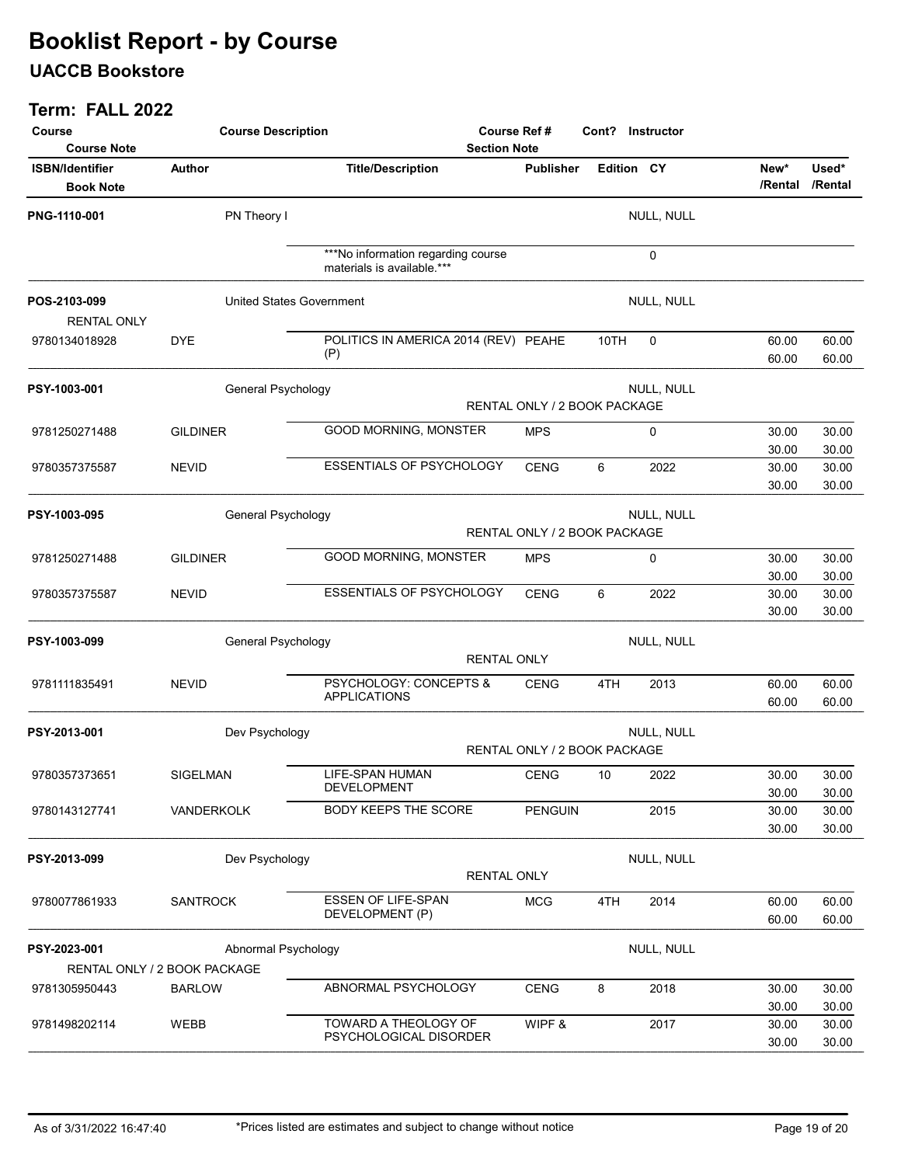### UACCB Bookstore

| Course<br><b>Course Note</b>               | <b>Course Description</b>       |                                                                  | Course Ref #<br>Cont? Instructor<br><b>Section Note</b> |            |            |                |                          |  |  |
|--------------------------------------------|---------------------------------|------------------------------------------------------------------|---------------------------------------------------------|------------|------------|----------------|--------------------------|--|--|
| <b>ISBN/Identifier</b><br><b>Book Note</b> | <b>Author</b>                   | <b>Title/Description</b>                                         | <b>Publisher</b>                                        | Edition CY |            | New*           | Used*<br>/Rental /Rental |  |  |
| PNG-1110-001                               | PN Theory I                     |                                                                  |                                                         |            | NULL, NULL |                |                          |  |  |
|                                            |                                 | ***No information regarding course<br>materials is available.*** |                                                         |            | $\Omega$   |                |                          |  |  |
| POS-2103-099<br><b>RENTAL ONLY</b>         | <b>United States Government</b> |                                                                  |                                                         |            | NULL, NULL |                |                          |  |  |
| 9780134018928                              | <b>DYE</b>                      | POLITICS IN AMERICA 2014 (REV) PEAHE<br>(P)                      |                                                         | 10TH       | $\Omega$   | 60.00<br>60.00 | 60.00<br>60.00           |  |  |
| PSY-1003-001                               | General Psychology              |                                                                  |                                                         |            | NULL, NULL |                |                          |  |  |
|                                            |                                 |                                                                  | RENTAL ONLY / 2 BOOK PACKAGE                            |            |            |                |                          |  |  |
| 9781250271488                              | <b>GILDINER</b>                 | GOOD MORNING, MONSTER                                            | <b>MPS</b>                                              |            | 0          | 30.00          | 30.00                    |  |  |
|                                            |                                 |                                                                  |                                                         |            |            | 30.00          | 30.00                    |  |  |
| 9780357375587                              | <b>NEVID</b>                    | <b>ESSENTIALS OF PSYCHOLOGY</b>                                  | <b>CENG</b>                                             | 6          | 2022       | 30.00          | 30.00                    |  |  |
|                                            |                                 |                                                                  |                                                         |            |            | 30.00          | 30.00                    |  |  |
| PSY-1003-095                               | General Psychology              |                                                                  |                                                         |            | NULL, NULL |                |                          |  |  |
|                                            |                                 |                                                                  | RENTAL ONLY / 2 BOOK PACKAGE                            |            |            |                |                          |  |  |
|                                            |                                 |                                                                  |                                                         |            |            |                |                          |  |  |
| 9781250271488                              | <b>GILDINER</b>                 | GOOD MORNING, MONSTER                                            | <b>MPS</b>                                              |            | 0          | 30.00          | 30.00                    |  |  |
|                                            | <b>NEVID</b>                    | <b>ESSENTIALS OF PSYCHOLOGY</b>                                  | <b>CENG</b>                                             | 6          | 2022       | 30.00<br>30.00 | 30.00                    |  |  |
| 9780357375587                              |                                 |                                                                  |                                                         |            |            | 30.00          | 30.00<br>30.00           |  |  |
|                                            |                                 |                                                                  |                                                         |            |            |                |                          |  |  |
| PSY-1003-099                               | General Psychology              |                                                                  |                                                         |            | NULL, NULL |                |                          |  |  |
|                                            |                                 | <b>RENTAL ONLY</b>                                               |                                                         |            |            |                |                          |  |  |
| 9781111835491                              | <b>NEVID</b>                    | PSYCHOLOGY: CONCEPTS &                                           | <b>CENG</b>                                             | 4TH        | 2013       | 60.00          | 60.00                    |  |  |
|                                            |                                 | <b>APPLICATIONS</b>                                              |                                                         |            |            | 60.00          | 60.00                    |  |  |
|                                            |                                 |                                                                  |                                                         |            |            |                |                          |  |  |
| PSY-2013-001                               | Dev Psychology                  | NULL, NULL<br>RENTAL ONLY / 2 BOOK PACKAGE                       |                                                         |            |            |                |                          |  |  |
|                                            |                                 |                                                                  |                                                         |            |            |                |                          |  |  |
| 9780357373651                              | SIGELMAN                        | <b>LIFE-SPAN HUMAN</b>                                           | <b>CENG</b>                                             | 10         | 2022       | 30.00          | 30.00                    |  |  |
|                                            |                                 | DEVELOPMENT                                                      |                                                         |            |            | 30.00          | 30.00                    |  |  |
| 9780143127741                              | VANDERKOLK                      | BODY KEEPS THE SCORE                                             | <b>PENGUIN</b>                                          |            | 2015       | 30.00          | 30.00                    |  |  |
|                                            |                                 |                                                                  |                                                         |            |            | 30.00          | 30.00                    |  |  |
| PSY-2013-099                               | Dev Psychology                  |                                                                  |                                                         |            | NULL, NULL |                |                          |  |  |
|                                            |                                 | RENTAL ONLY                                                      |                                                         |            |            |                |                          |  |  |
| 9780077861933                              | <b>SANTROCK</b>                 | <b>ESSEN OF LIFE-SPAN</b>                                        | <b>MCG</b>                                              | 4TH        | 2014       | 60.00          | 60.00                    |  |  |
|                                            |                                 | DEVELOPMENT (P)                                                  |                                                         |            |            | 60.00          | 60.00                    |  |  |
|                                            |                                 |                                                                  |                                                         |            |            |                |                          |  |  |
| PSY-2023-001                               | Abnormal Psychology             |                                                                  |                                                         |            | NULL, NULL |                |                          |  |  |
|                                            | RENTAL ONLY / 2 BOOK PACKAGE    |                                                                  |                                                         |            |            |                |                          |  |  |
| 9781305950443                              | <b>BARLOW</b>                   | ABNORMAL PSYCHOLOGY                                              | <b>CENG</b>                                             | 8          | 2018       | 30.00          | 30.00                    |  |  |
|                                            |                                 |                                                                  |                                                         |            |            | 30.00          | 30.00                    |  |  |
| 9781498202114                              | WEBB                            | TOWARD A THEOLOGY OF                                             | WIPF &                                                  |            | 2017       | 30.00          | 30.00                    |  |  |
|                                            |                                 | PSYCHOLOGICAL DISORDER                                           |                                                         |            |            | 30.00          | 30.00                    |  |  |